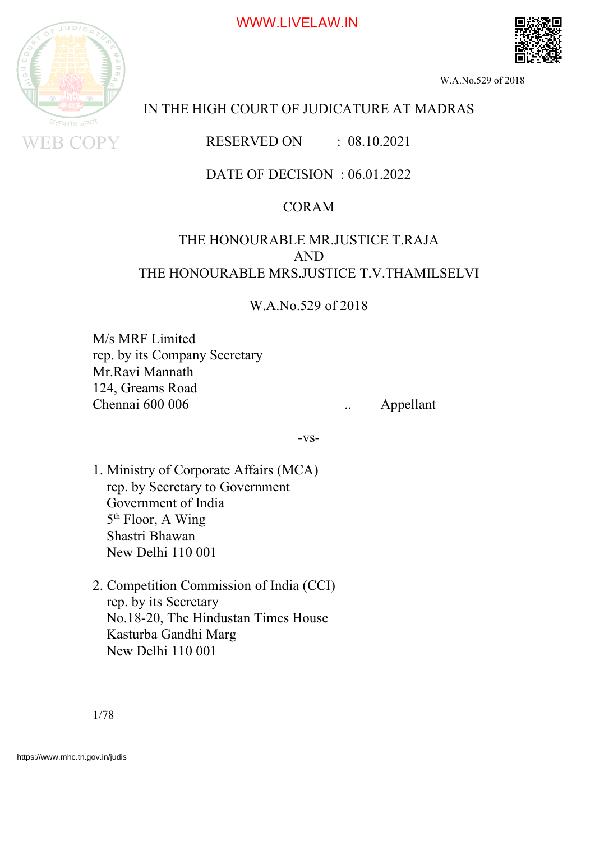



W.A.No.529 of 2018

# IN THE HIGH COURT OF JUDICATURE AT MADRAS

RESERVED ON : 08.10.2021

## DATE OF DECISION : 06.01.2022

## CORAM

## THE HONOURABLE MR.JUSTICE T.RAJA AND THE HONOURABLE MRS.JUSTICE T.V.THAMILSELVI

W.A.No.529 of 2018

M/s MRF Limited rep. by its Company Secretary Mr.Ravi Mannath 124, Greams Road Chennai 600 006 . Appellant

-vs-

- 1. Ministry of Corporate Affairs (MCA) rep. by Secretary to Government Government of India 5<sup>th</sup> Floor, A Wing Shastri Bhawan New Delhi 110 001
- 2. Competition Commission of India (CCI) rep. by its Secretary No.18-20, The Hindustan Times House Kasturba Gandhi Marg New Delhi 110 001

1/78

https://www.mhc.tn.gov.in/judis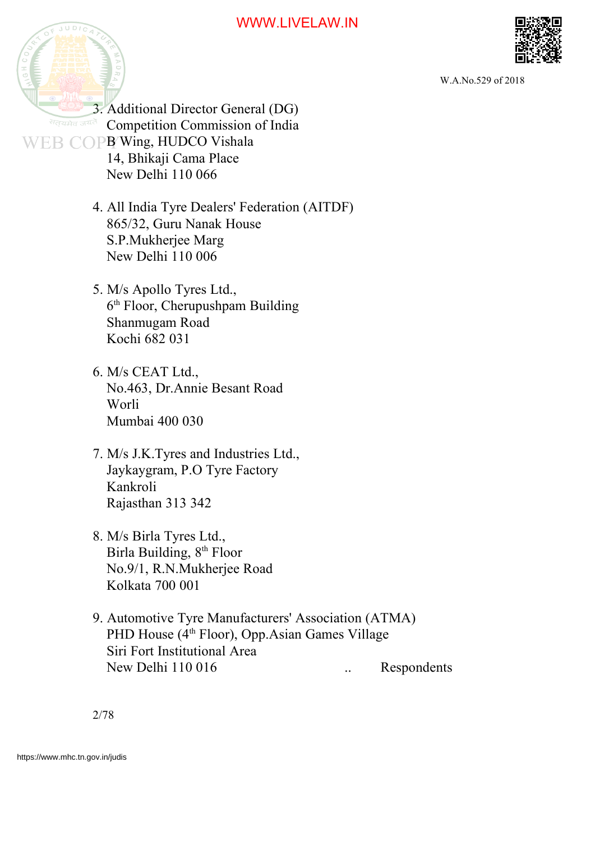



W.A.No.529 of 2018

3. Additional Director General (DG) **The state of Lines Competition Commission of India** WEB COPB Wing, HUDCO Vishala 14, Bhikaji Cama Place New Delhi 110 066 4. All India Tyre Dealers' Federation (AITDF) 865/32, Guru Nanak House S.P.Mukherjee Marg

New Delhi 110 006

5. M/s Apollo Tyres Ltd., 6 th Floor, Cherupushpam Building Shanmugam Road Kochi 682 031

6. M/s CEAT Ltd., No.463, Dr.Annie Besant Road Worli Mumbai 400 030

7. M/s J.K.Tyres and Industries Ltd., Jaykaygram, P.O Tyre Factory Kankroli Rajasthan 313 342

8. M/s Birla Tyres Ltd., Birla Building, 8<sup>th</sup> Floor No.9/1, R.N.Mukherjee Road Kolkata 700 001

9. Automotive Tyre Manufacturers' Association (ATMA) PHD House (4<sup>th</sup> Floor), Opp.Asian Games Village Siri Fort Institutional Area New Delhi 110 016 ... Respondents

2/78

https://www.mhc.tn.gov.in/judis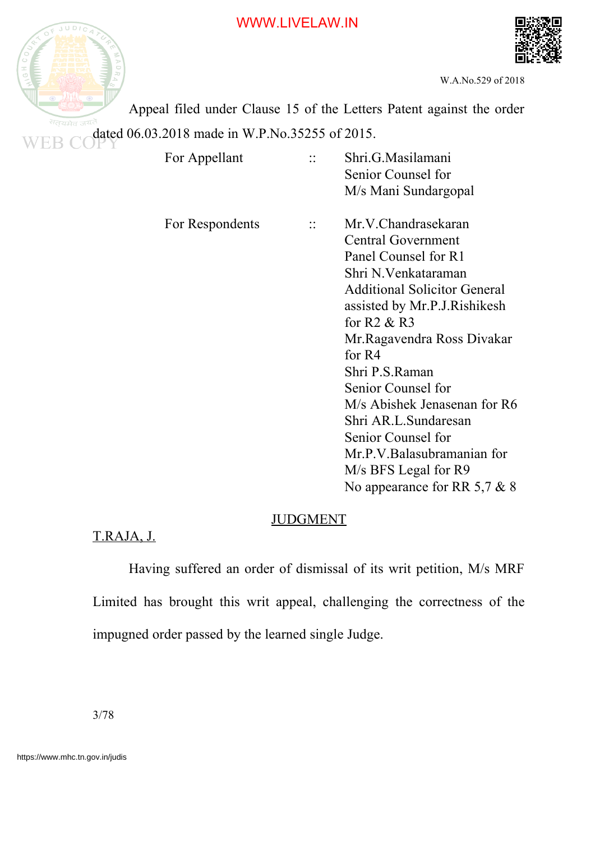



W.A.No.529 of 2018

Appeal filed under Clause 15 of the Letters Patent against the order dated 06.03.2018 made in W.P.No.35255 of 2015.

| For Appellant   | Shri.G.Masilamani<br>Senior Counsel for<br>M/s Mani Sundargopal                                                                                                                                                                                                                                                                                                                                                                                 |
|-----------------|-------------------------------------------------------------------------------------------------------------------------------------------------------------------------------------------------------------------------------------------------------------------------------------------------------------------------------------------------------------------------------------------------------------------------------------------------|
| For Respondents | Mr.V.Chandrasekaran<br><b>Central Government</b><br>Panel Counsel for R1<br>Shri N.Venkataraman<br><b>Additional Solicitor General</b><br>assisted by Mr.P.J.Rishikesh<br>for $R2 & R3$<br>Mr.Ragavendra Ross Divakar<br>for $R4$<br>Shri P.S.Raman<br>Senior Counsel for<br>M/s Abishek Jenasenan for R6<br>Shri AR.L.Sundaresan<br>Senior Counsel for<br>Mr.P.V.Balasubramanian for<br>M/s BFS Legal for R9<br>No appearance for RR 5,7 $& 8$ |

#### JUDGMENT

## T.RAJA, J.

Having suffered an order of dismissal of its writ petition, M/s MRF Limited has brought this writ appeal, challenging the correctness of the impugned order passed by the learned single Judge.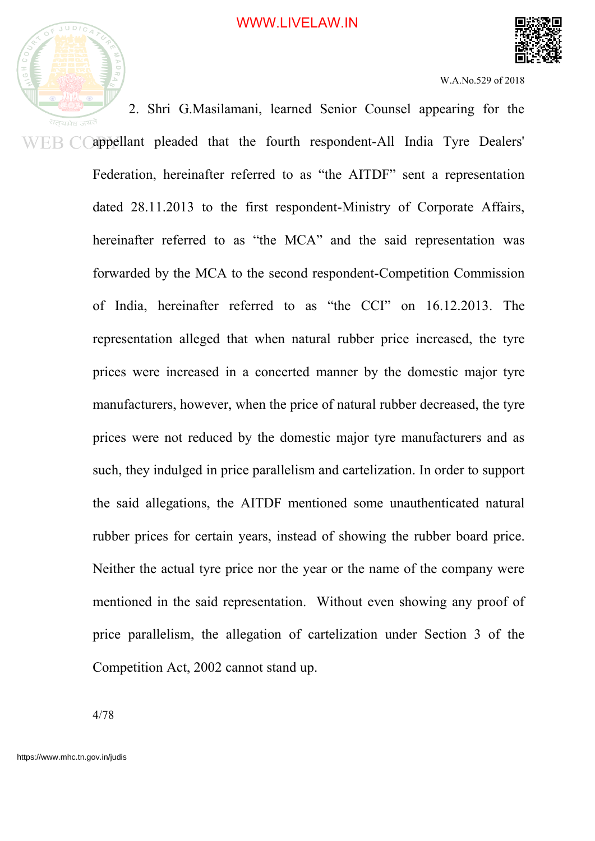



2. Shri G.Masilamani, learned Senior Counsel appearing for the appellant pleaded that the fourth respondent-All India Tyre Dealers' ER CO Federation, hereinafter referred to as "the AITDF" sent a representation dated 28.11.2013 to the first respondent-Ministry of Corporate Affairs, hereinafter referred to as "the MCA" and the said representation was forwarded by the MCA to the second respondent-Competition Commission of India, hereinafter referred to as "the CCI" on 16.12.2013. The representation alleged that when natural rubber price increased, the tyre prices were increased in a concerted manner by the domestic major tyre manufacturers, however, when the price of natural rubber decreased, the tyre prices were not reduced by the domestic major tyre manufacturers and as such, they indulged in price parallelism and cartelization. In order to support the said allegations, the AITDF mentioned some unauthenticated natural rubber prices for certain years, instead of showing the rubber board price. Neither the actual tyre price nor the year or the name of the company were mentioned in the said representation. Without even showing any proof of price parallelism, the allegation of cartelization under Section 3 of the Competition Act, 2002 cannot stand up.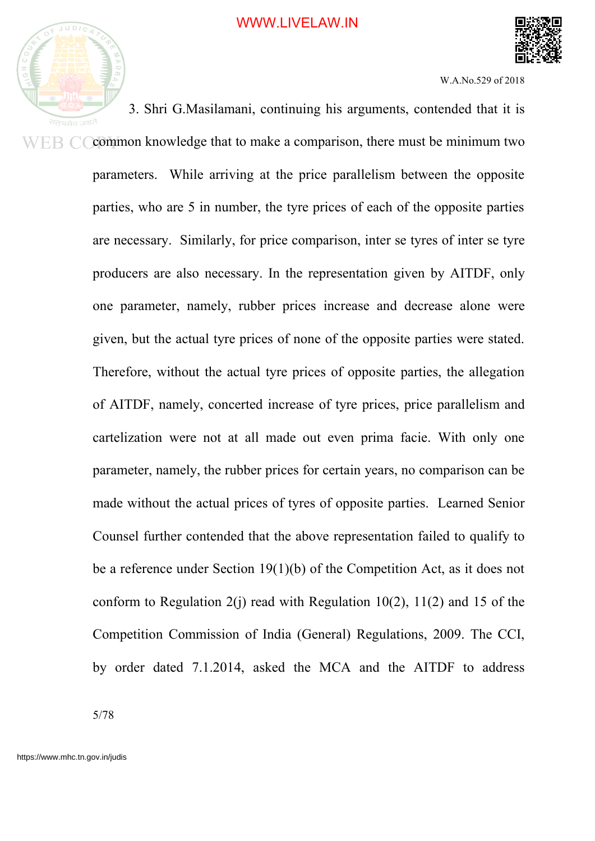

W.A.No.529 of 2018

3. Shri G.Masilamani, continuing his arguments, contended that it is common knowledge that to make a comparison, there must be minimum two ER C parameters. While arriving at the price parallelism between the opposite parties, who are 5 in number, the tyre prices of each of the opposite parties are necessary. Similarly, for price comparison, inter se tyres of inter se tyre producers are also necessary. In the representation given by AITDF, only one parameter, namely, rubber prices increase and decrease alone were given, but the actual tyre prices of none of the opposite parties were stated. Therefore, without the actual tyre prices of opposite parties, the allegation of AITDF, namely, concerted increase of tyre prices, price parallelism and cartelization were not at all made out even prima facie. With only one parameter, namely, the rubber prices for certain years, no comparison can be made without the actual prices of tyres of opposite parties. Learned Senior Counsel further contended that the above representation failed to qualify to be a reference under Section 19(1)(b) of the Competition Act, as it does not conform to Regulation  $2(i)$  read with Regulation 10(2), 11(2) and 15 of the Competition Commission of India (General) Regulations, 2009. The CCI, by order dated 7.1.2014, asked the MCA and the AITDF to address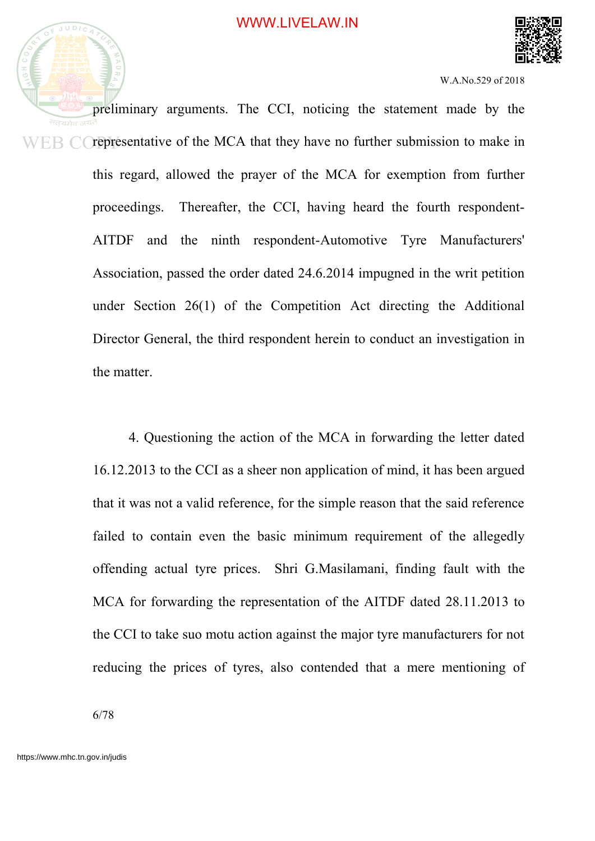

preliminary arguments. The CCI, noticing the statement made by the representative of the MCA that they have no further submission to make in WEB CO this regard, allowed the prayer of the MCA for exemption from further proceedings. Thereafter, the CCI, having heard the fourth respondent-AITDF and the ninth respondent-Automotive Tyre Manufacturers' Association, passed the order dated 24.6.2014 impugned in the writ petition under Section 26(1) of the Competition Act directing the Additional Director General, the third respondent herein to conduct an investigation in the matter.

> 4. Questioning the action of the MCA in forwarding the letter dated 16.12.2013 to the CCI as a sheer non application of mind, it has been argued that it was not a valid reference, for the simple reason that the said reference failed to contain even the basic minimum requirement of the allegedly offending actual tyre prices. Shri G.Masilamani, finding fault with the MCA for forwarding the representation of the AITDF dated 28.11.2013 to the CCI to take suo motu action against the major tyre manufacturers for not reducing the prices of tyres, also contended that a mere mentioning of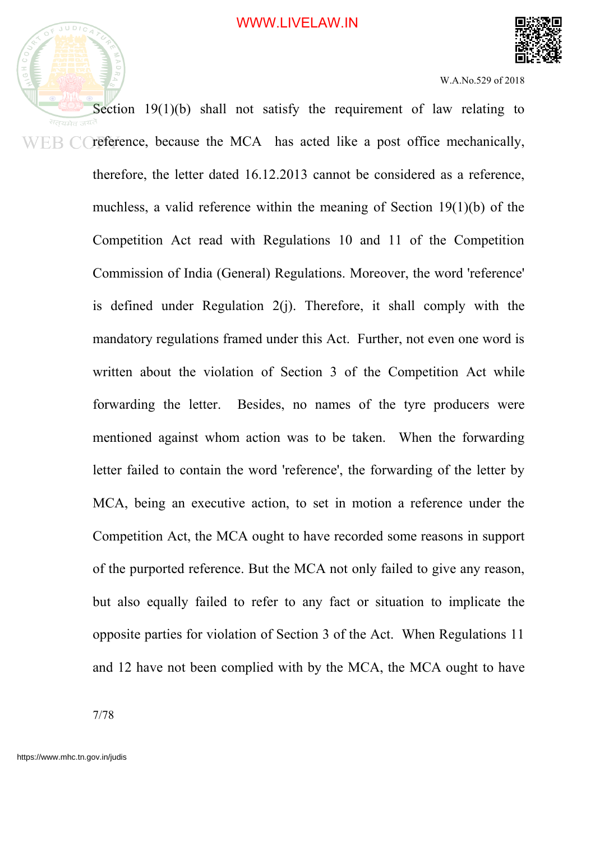



Section 19(1)(b) shall not satisfy the requirement of law relating to सतयमेव reference, because the MCA has acted like a post office mechanically, ER CO therefore, the letter dated 16.12.2013 cannot be considered as a reference, muchless, a valid reference within the meaning of Section 19(1)(b) of the Competition Act read with Regulations 10 and 11 of the Competition Commission of India (General) Regulations. Moreover, the word 'reference' is defined under Regulation 2(j). Therefore, it shall comply with the mandatory regulations framed under this Act. Further, not even one word is written about the violation of Section 3 of the Competition Act while forwarding the letter. Besides, no names of the tyre producers were mentioned against whom action was to be taken. When the forwarding letter failed to contain the word 'reference', the forwarding of the letter by MCA, being an executive action, to set in motion a reference under the Competition Act, the MCA ought to have recorded some reasons in support of the purported reference. But the MCA not only failed to give any reason, but also equally failed to refer to any fact or situation to implicate the opposite parties for violation of Section 3 of the Act. When Regulations 11 and 12 have not been complied with by the MCA, the MCA ought to have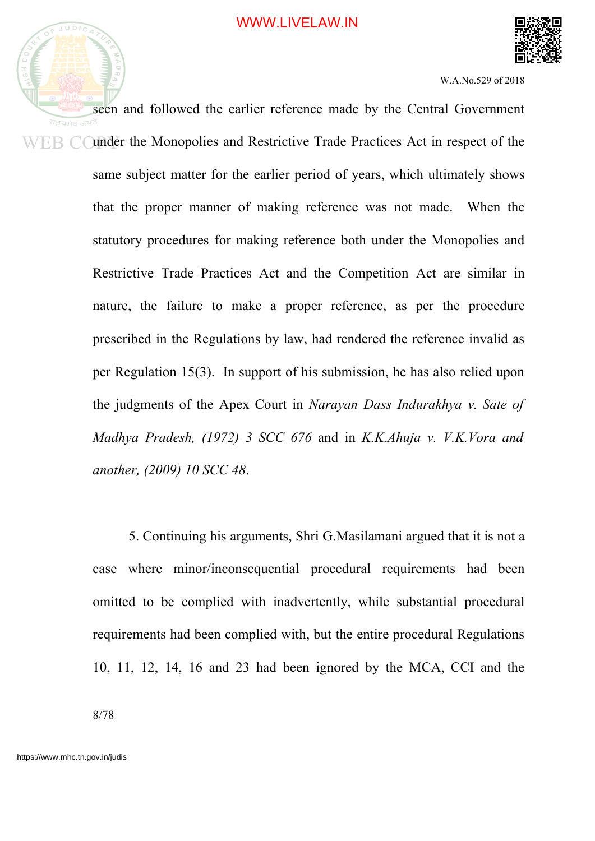

seen and followed the earlier reference made by the Central Government under the Monopolies and Restrictive Trade Practices Act in respect of the EB C same subject matter for the earlier period of years, which ultimately shows that the proper manner of making reference was not made. When the statutory procedures for making reference both under the Monopolies and Restrictive Trade Practices Act and the Competition Act are similar in nature, the failure to make a proper reference, as per the procedure prescribed in the Regulations by law, had rendered the reference invalid as per Regulation 15(3). In support of his submission, he has also relied upon the judgments of the Apex Court in *Narayan Dass Indurakhya v. Sate of Madhya Pradesh, (1972) 3 SCC 676* and in *K.K.Ahuja v. V.K.Vora and another, (2009) 10 SCC 48*.

> 5. Continuing his arguments, Shri G.Masilamani argued that it is not a case where minor/inconsequential procedural requirements had been omitted to be complied with inadvertently, while substantial procedural requirements had been complied with, but the entire procedural Regulations 10, 11, 12, 14, 16 and 23 had been ignored by the MCA, CCI and the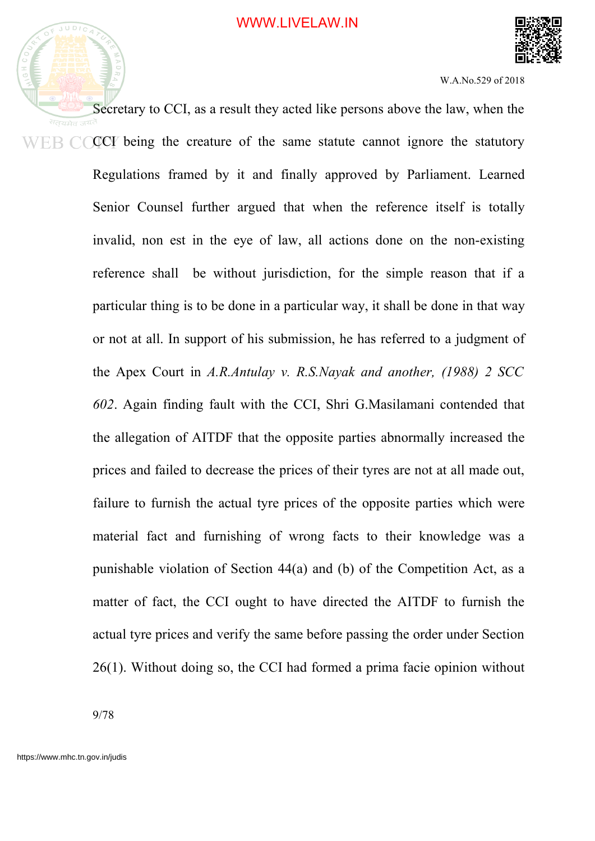



Secretary to CCI, as a result they acted like persons above the law, when the CCI being the creature of the same statute cannot ignore the statutory Regulations framed by it and finally approved by Parliament. Learned Senior Counsel further argued that when the reference itself is totally invalid, non est in the eye of law, all actions done on the non-existing reference shall be without jurisdiction, for the simple reason that if a particular thing is to be done in a particular way, it shall be done in that way or not at all. In support of his submission, he has referred to a judgment of the Apex Court in *A.R.Antulay v. R.S.Nayak and another, (1988) 2 SCC 602*. Again finding fault with the CCI, Shri G.Masilamani contended that the allegation of AITDF that the opposite parties abnormally increased the prices and failed to decrease the prices of their tyres are not at all made out, failure to furnish the actual tyre prices of the opposite parties which were material fact and furnishing of wrong facts to their knowledge was a punishable violation of Section 44(a) and (b) of the Competition Act, as a matter of fact, the CCI ought to have directed the AITDF to furnish the actual tyre prices and verify the same before passing the order under Section 26(1). Without doing so, the CCI had formed a prima facie opinion without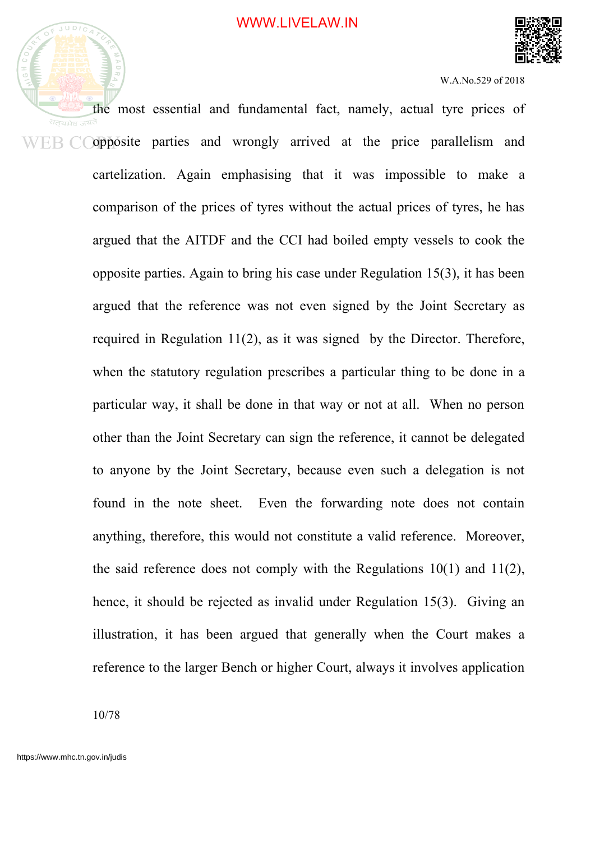



the most essential and fundamental fact, namely, actual tyre prices of opposite parties and wrongly arrived at the price parallelism and WER CO cartelization. Again emphasising that it was impossible to make a comparison of the prices of tyres without the actual prices of tyres, he has argued that the AITDF and the CCI had boiled empty vessels to cook the opposite parties. Again to bring his case under Regulation 15(3), it has been argued that the reference was not even signed by the Joint Secretary as required in Regulation 11(2), as it was signed by the Director. Therefore, when the statutory regulation prescribes a particular thing to be done in a particular way, it shall be done in that way or not at all. When no person other than the Joint Secretary can sign the reference, it cannot be delegated to anyone by the Joint Secretary, because even such a delegation is not found in the note sheet. Even the forwarding note does not contain anything, therefore, this would not constitute a valid reference. Moreover, the said reference does not comply with the Regulations  $10(1)$  and  $11(2)$ , hence, it should be rejected as invalid under Regulation 15(3). Giving an illustration, it has been argued that generally when the Court makes a reference to the larger Bench or higher Court, always it involves application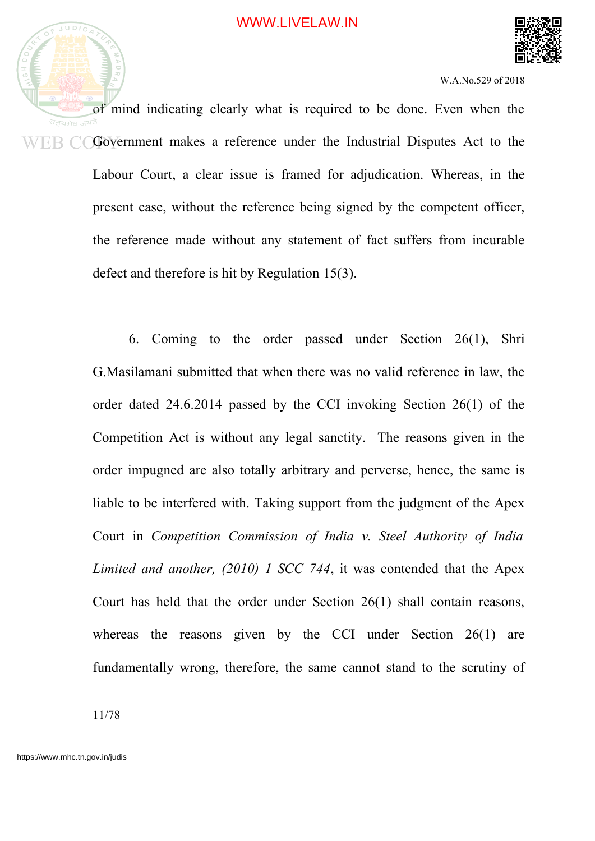

of mind indicating clearly what is required to be done. Even when the सतयमेव जय Government makes a reference under the Industrial Disputes Act to the WER CO Labour Court, a clear issue is framed for adjudication. Whereas, in the present case, without the reference being signed by the competent officer, the reference made without any statement of fact suffers from incurable defect and therefore is hit by Regulation 15(3).

> 6. Coming to the order passed under Section 26(1), Shri G.Masilamani submitted that when there was no valid reference in law, the order dated 24.6.2014 passed by the CCI invoking Section 26(1) of the Competition Act is without any legal sanctity. The reasons given in the order impugned are also totally arbitrary and perverse, hence, the same is liable to be interfered with. Taking support from the judgment of the Apex Court in *Competition Commission of India v. Steel Authority of India Limited and another, (2010) 1 SCC 744*, it was contended that the Apex Court has held that the order under Section 26(1) shall contain reasons, whereas the reasons given by the CCI under Section 26(1) are fundamentally wrong, therefore, the same cannot stand to the scrutiny of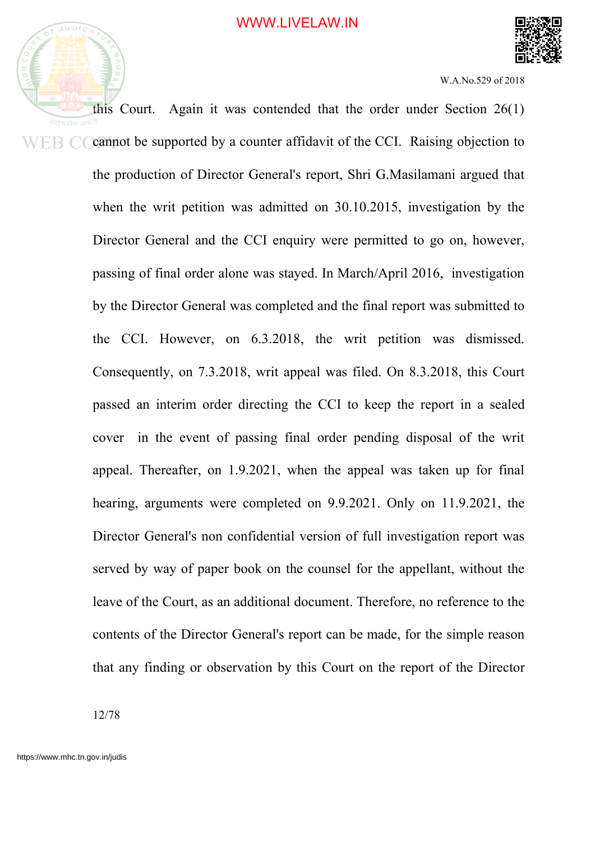

this Court. Again it was contended that the order under Section 26(1) सतयमेव जय<sup>2</sup> cannot be supported by a counter affidavit of the CCI. Raising objection to ER CO the production of Director General's report, Shri G.Masilamani argued that when the writ petition was admitted on 30.10.2015, investigation by the Director General and the CCI enquiry were permitted to go on, however, passing of final order alone was stayed. In March/April 2016, investigation by the Director General was completed and the final report was submitted to the CCI. However, on 6.3.2018, the writ petition was dismissed. Consequently, on 7.3.2018, writ appeal was filed. On 8.3.2018, this Court passed an interim order directing the CCI to keep the report in a sealed cover in the event of passing final order pending disposal of the writ appeal. Thereafter, on 1.9.2021, when the appeal was taken up for final hearing, arguments were completed on 9.9.2021. Only on 11.9.2021, the Director General's non confidential version of full investigation report was served by way of paper book on the counsel for the appellant, without the leave of the Court, as an additional document. Therefore, no reference to the contents of the Director General's report can be made, for the simple reason that any finding or observation by this Court on the report of the Director

12/78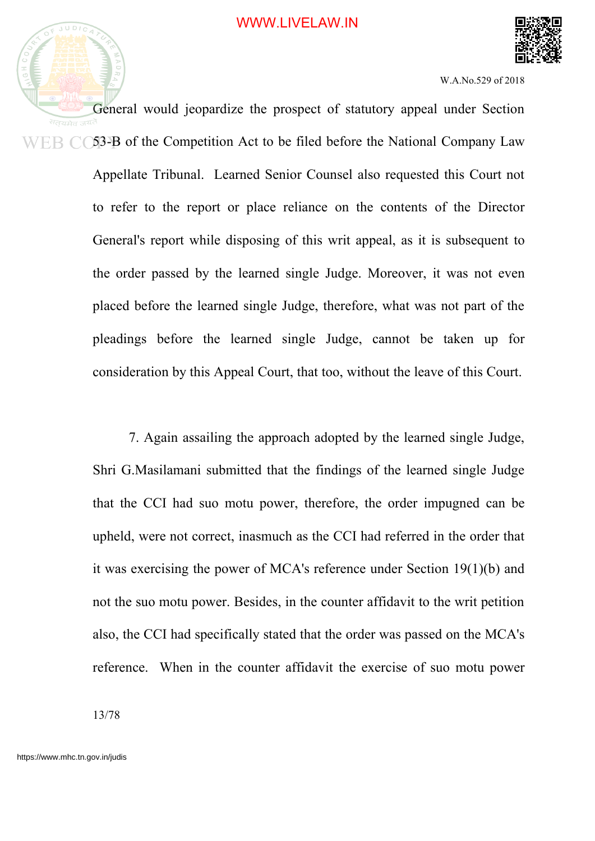



General would jeopardize the prospect of statutory appeal under Section 53-B of the Competition Act to be filed before the National Company Law Appellate Tribunal. Learned Senior Counsel also requested this Court not to refer to the report or place reliance on the contents of the Director General's report while disposing of this writ appeal, as it is subsequent to the order passed by the learned single Judge. Moreover, it was not even placed before the learned single Judge, therefore, what was not part of the pleadings before the learned single Judge, cannot be taken up for consideration by this Appeal Court, that too, without the leave of this Court.

> 7. Again assailing the approach adopted by the learned single Judge, Shri G.Masilamani submitted that the findings of the learned single Judge that the CCI had suo motu power, therefore, the order impugned can be upheld, were not correct, inasmuch as the CCI had referred in the order that it was exercising the power of MCA's reference under Section 19(1)(b) and not the suo motu power. Besides, in the counter affidavit to the writ petition also, the CCI had specifically stated that the order was passed on the MCA's reference. When in the counter affidavit the exercise of suo motu power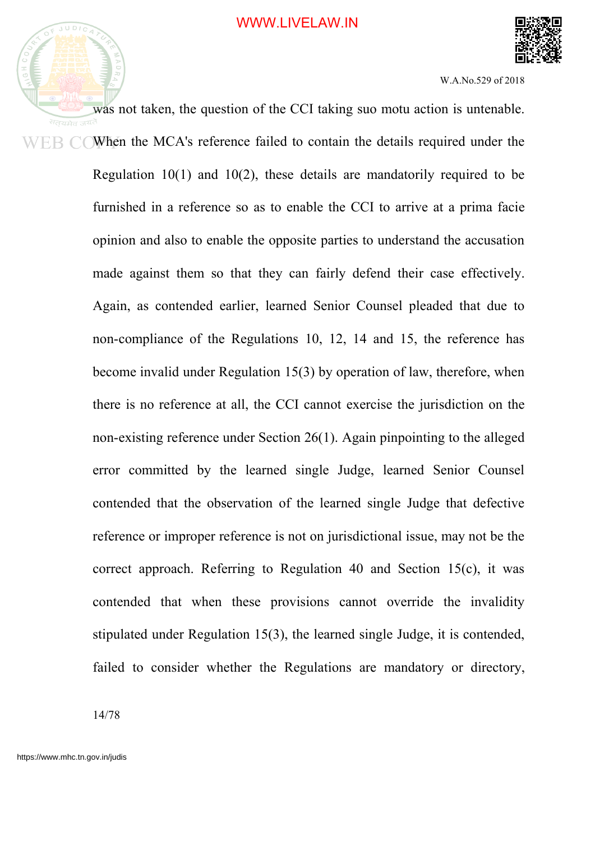

was not taken, the question of the CCI taking suo motu action is untenable. सतयमेव जयं EB COWhen the MCA's reference failed to contain the details required under the Regulation 10(1) and 10(2), these details are mandatorily required to be furnished in a reference so as to enable the CCI to arrive at a prima facie opinion and also to enable the opposite parties to understand the accusation made against them so that they can fairly defend their case effectively. Again, as contended earlier, learned Senior Counsel pleaded that due to non-compliance of the Regulations 10, 12, 14 and 15, the reference has become invalid under Regulation 15(3) by operation of law, therefore, when there is no reference at all, the CCI cannot exercise the jurisdiction on the non-existing reference under Section 26(1). Again pinpointing to the alleged error committed by the learned single Judge, learned Senior Counsel contended that the observation of the learned single Judge that defective reference or improper reference is not on jurisdictional issue, may not be the correct approach. Referring to Regulation 40 and Section 15(c), it was contended that when these provisions cannot override the invalidity stipulated under Regulation 15(3), the learned single Judge, it is contended, failed to consider whether the Regulations are mandatory or directory,

14/78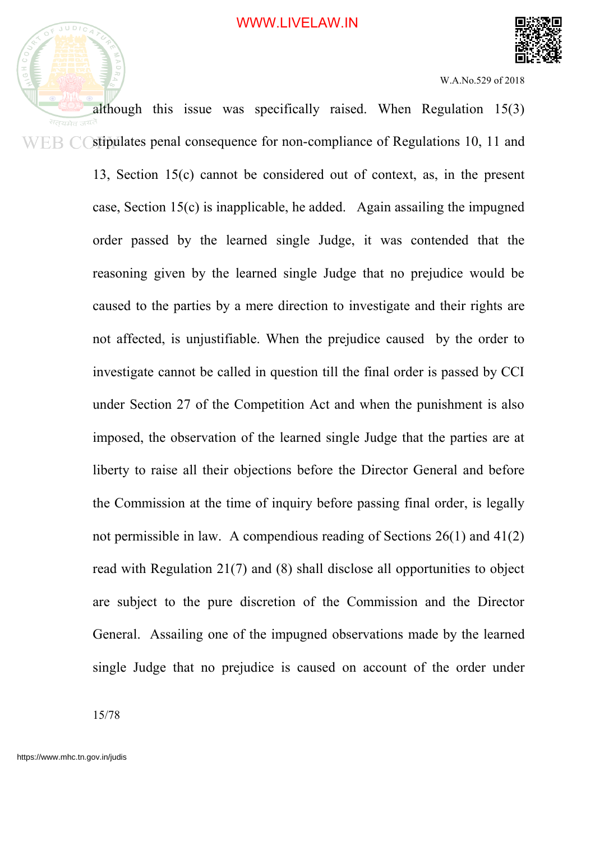



although this issue was specifically raised. When Regulation 15(3) सतयमेव जय stipulates penal consequence for non-compliance of Regulations 10, 11 and ER C 13, Section 15(c) cannot be considered out of context, as, in the present case, Section 15(c) is inapplicable, he added. Again assailing the impugned order passed by the learned single Judge, it was contended that the reasoning given by the learned single Judge that no prejudice would be caused to the parties by a mere direction to investigate and their rights are not affected, is unjustifiable. When the prejudice caused by the order to investigate cannot be called in question till the final order is passed by CCI under Section 27 of the Competition Act and when the punishment is also imposed, the observation of the learned single Judge that the parties are at liberty to raise all their objections before the Director General and before the Commission at the time of inquiry before passing final order, is legally not permissible in law. A compendious reading of Sections 26(1) and 41(2) read with Regulation 21(7) and (8) shall disclose all opportunities to object are subject to the pure discretion of the Commission and the Director General. Assailing one of the impugned observations made by the learned single Judge that no prejudice is caused on account of the order under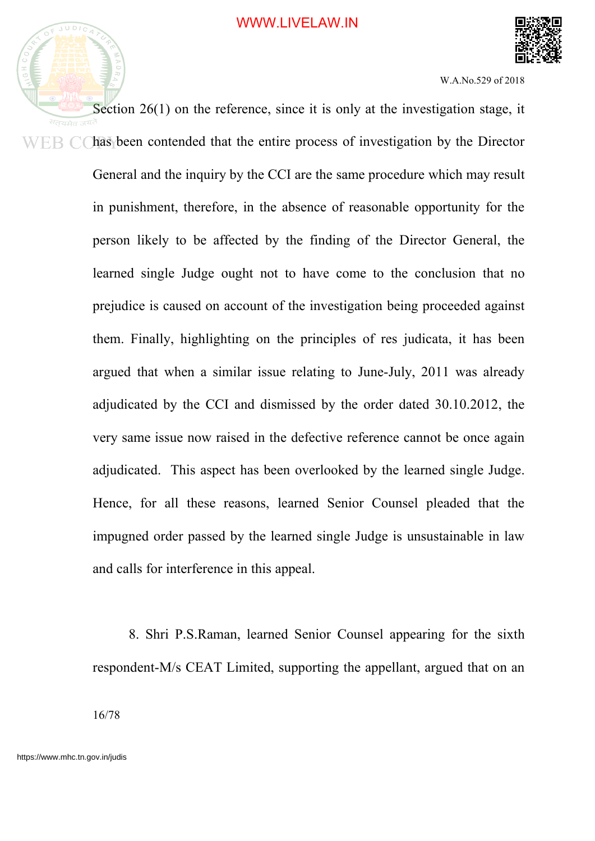



Section 26(1) on the reference, since it is only at the investigation stage, it has been contended that the entire process of investigation by the Director ER CO General and the inquiry by the CCI are the same procedure which may result in punishment, therefore, in the absence of reasonable opportunity for the person likely to be affected by the finding of the Director General, the learned single Judge ought not to have come to the conclusion that no prejudice is caused on account of the investigation being proceeded against them. Finally, highlighting on the principles of res judicata, it has been argued that when a similar issue relating to June-July, 2011 was already adjudicated by the CCI and dismissed by the order dated 30.10.2012, the very same issue now raised in the defective reference cannot be once again adjudicated. This aspect has been overlooked by the learned single Judge. Hence, for all these reasons, learned Senior Counsel pleaded that the impugned order passed by the learned single Judge is unsustainable in law and calls for interference in this appeal.

> 8. Shri P.S.Raman, learned Senior Counsel appearing for the sixth respondent-M/s CEAT Limited, supporting the appellant, argued that on an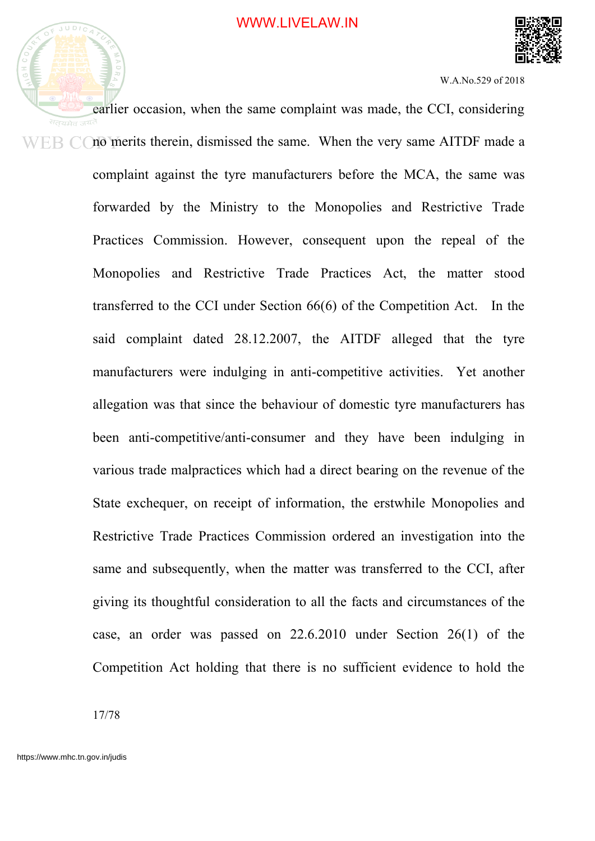



earlier occasion, when the same complaint was made, the CCI, considering  $WEB$   $\dot{\bigcirc}$  merits therein, dismissed the same. When the very same AITDF made a complaint against the tyre manufacturers before the MCA, the same was forwarded by the Ministry to the Monopolies and Restrictive Trade Practices Commission. However, consequent upon the repeal of the Monopolies and Restrictive Trade Practices Act, the matter stood transferred to the CCI under Section 66(6) of the Competition Act. In the said complaint dated 28.12.2007, the AITDF alleged that the tyre manufacturers were indulging in anti-competitive activities. Yet another allegation was that since the behaviour of domestic tyre manufacturers has been anti-competitive/anti-consumer and they have been indulging in various trade malpractices which had a direct bearing on the revenue of the State exchequer, on receipt of information, the erstwhile Monopolies and Restrictive Trade Practices Commission ordered an investigation into the same and subsequently, when the matter was transferred to the CCI, after giving its thoughtful consideration to all the facts and circumstances of the case, an order was passed on 22.6.2010 under Section 26(1) of the Competition Act holding that there is no sufficient evidence to hold the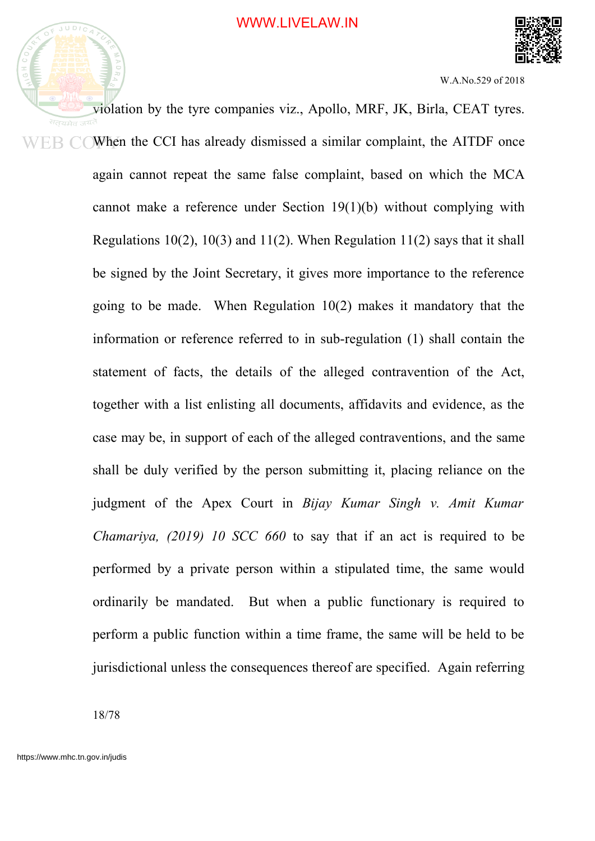

violation by the tyre companies viz., Apollo, MRF, JK, Birla, CEAT tyres. When the CCI has already dismissed a similar complaint, the AITDF once ER C again cannot repeat the same false complaint, based on which the MCA cannot make a reference under Section 19(1)(b) without complying with Regulations 10(2), 10(3) and 11(2). When Regulation 11(2) says that it shall be signed by the Joint Secretary, it gives more importance to the reference going to be made. When Regulation 10(2) makes it mandatory that the information or reference referred to in sub-regulation (1) shall contain the statement of facts, the details of the alleged contravention of the Act, together with a list enlisting all documents, affidavits and evidence, as the case may be, in support of each of the alleged contraventions, and the same shall be duly verified by the person submitting it, placing reliance on the judgment of the Apex Court in *Bijay Kumar Singh v. Amit Kumar Chamariya, (2019) 10 SCC 660* to say that if an act is required to be performed by a private person within a stipulated time, the same would ordinarily be mandated. But when a public functionary is required to perform a public function within a time frame, the same will be held to be jurisdictional unless the consequences thereof are specified. Again referring

18/78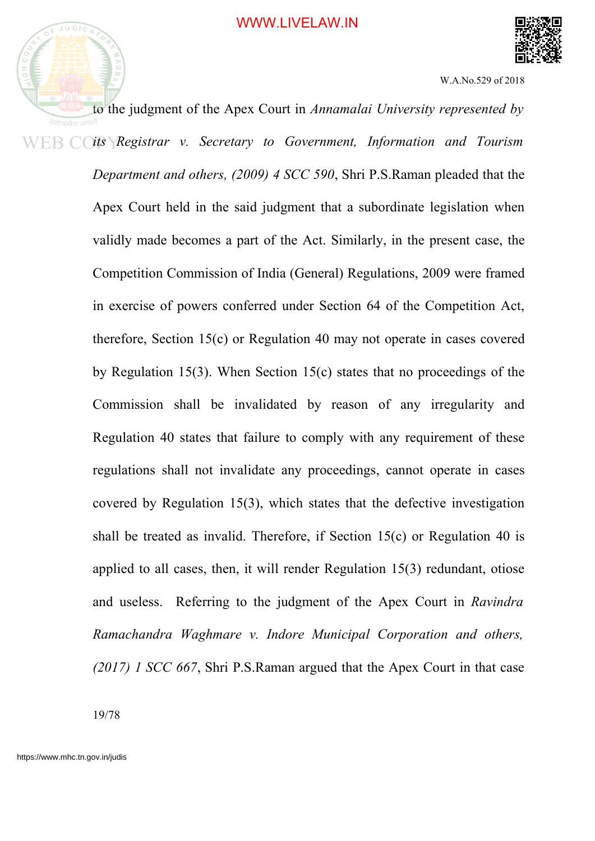

to the judgment of the Apex Court in *Annamalai University represented by its Registrar v. Secretary to Government, Information and Tourism Department and others, (2009) 4 SCC 590*, Shri P.S.Raman pleaded that the Apex Court held in the said judgment that a subordinate legislation when validly made becomes a part of the Act. Similarly, in the present case, the Competition Commission of India (General) Regulations, 2009 were framed in exercise of powers conferred under Section 64 of the Competition Act, therefore, Section 15(c) or Regulation 40 may not operate in cases covered by Regulation 15(3). When Section 15(c) states that no proceedings of the Commission shall be invalidated by reason of any irregularity and Regulation 40 states that failure to comply with any requirement of these regulations shall not invalidate any proceedings, cannot operate in cases covered by Regulation 15(3), which states that the defective investigation shall be treated as invalid. Therefore, if Section 15(c) or Regulation 40 is applied to all cases, then, it will render Regulation 15(3) redundant, otiose and useless. Referring to the judgment of the Apex Court in *Ravindra Ramachandra Waghmare v. Indore Municipal Corporation and others, (2017) 1 SCC 667*, Shri P.S.Raman argued that the Apex Court in that case

19/78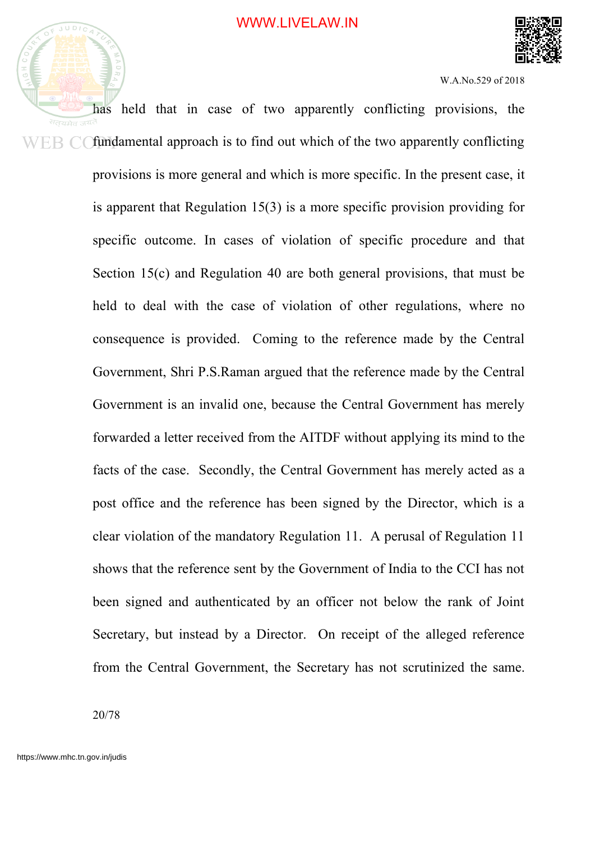



has held that in case of two apparently conflicting provisions, the सतयमेव  $E\rightarrow$   $E\rightarrow$   $C\rightarrow$  fundamental approach is to find out which of the two apparently conflicting provisions is more general and which is more specific. In the present case, it is apparent that Regulation 15(3) is a more specific provision providing for specific outcome. In cases of violation of specific procedure and that Section 15(c) and Regulation 40 are both general provisions, that must be held to deal with the case of violation of other regulations, where no consequence is provided. Coming to the reference made by the Central Government, Shri P.S.Raman argued that the reference made by the Central Government is an invalid one, because the Central Government has merely forwarded a letter received from the AITDF without applying its mind to the facts of the case. Secondly, the Central Government has merely acted as a post office and the reference has been signed by the Director, which is a clear violation of the mandatory Regulation 11. A perusal of Regulation 11 shows that the reference sent by the Government of India to the CCI has not been signed and authenticated by an officer not below the rank of Joint Secretary, but instead by a Director. On receipt of the alleged reference from the Central Government, the Secretary has not scrutinized the same.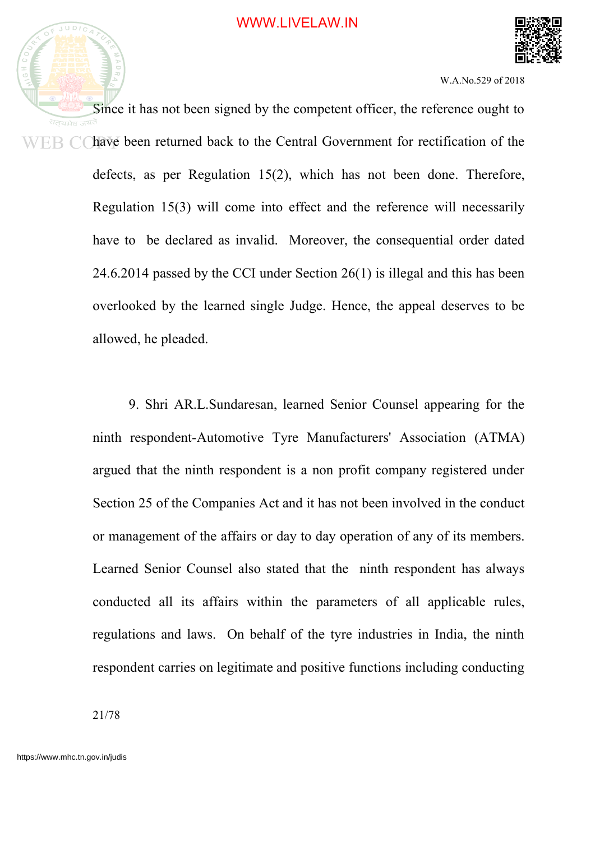



Since it has not been signed by the competent officer, the reference ought to सतयमेव **HR** C have been returned back to the Central Government for rectification of the defects, as per Regulation 15(2), which has not been done. Therefore, Regulation 15(3) will come into effect and the reference will necessarily have to be declared as invalid. Moreover, the consequential order dated 24.6.2014 passed by the CCI under Section 26(1) is illegal and this has been overlooked by the learned single Judge. Hence, the appeal deserves to be allowed, he pleaded.

> 9. Shri AR.L.Sundaresan, learned Senior Counsel appearing for the ninth respondent-Automotive Tyre Manufacturers' Association (ATMA) argued that the ninth respondent is a non profit company registered under Section 25 of the Companies Act and it has not been involved in the conduct or management of the affairs or day to day operation of any of its members. Learned Senior Counsel also stated that the ninth respondent has always conducted all its affairs within the parameters of all applicable rules, regulations and laws. On behalf of the tyre industries in India, the ninth respondent carries on legitimate and positive functions including conducting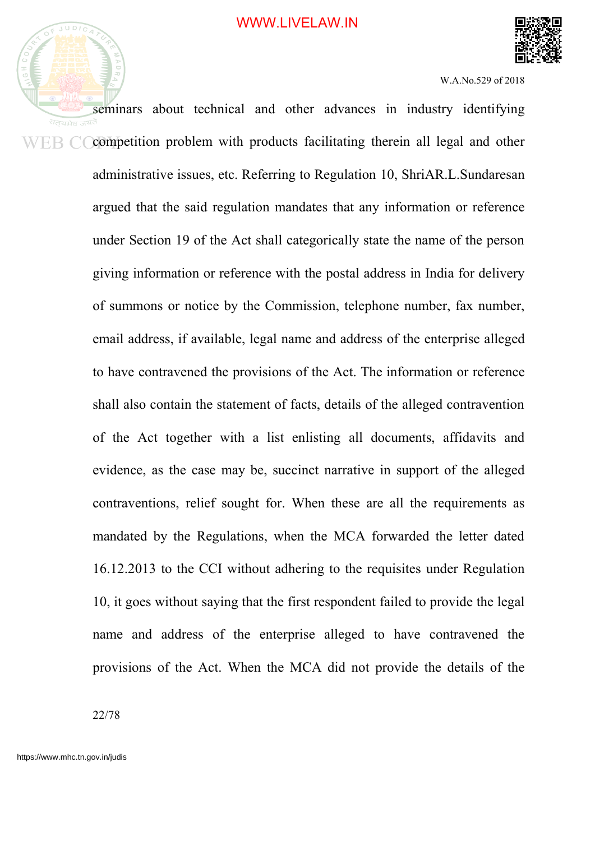

seminars about technical and other advances in industry identifying competition problem with products facilitating therein all legal and other ER C administrative issues, etc. Referring to Regulation 10, ShriAR.L.Sundaresan argued that the said regulation mandates that any information or reference under Section 19 of the Act shall categorically state the name of the person giving information or reference with the postal address in India for delivery of summons or notice by the Commission, telephone number, fax number, email address, if available, legal name and address of the enterprise alleged to have contravened the provisions of the Act. The information or reference shall also contain the statement of facts, details of the alleged contravention of the Act together with a list enlisting all documents, affidavits and evidence, as the case may be, succinct narrative in support of the alleged contraventions, relief sought for. When these are all the requirements as mandated by the Regulations, when the MCA forwarded the letter dated 16.12.2013 to the CCI without adhering to the requisites under Regulation 10, it goes without saying that the first respondent failed to provide the legal name and address of the enterprise alleged to have contravened the provisions of the Act. When the MCA did not provide the details of the

22/78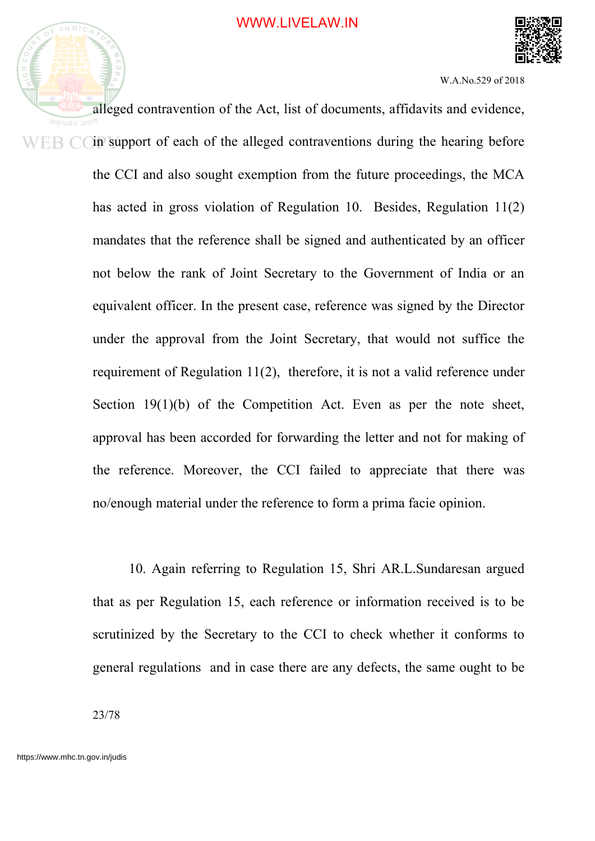

alleged contravention of the Act, list of documents, affidavits and evidence, in support of each of the alleged contraventions during the hearing before WER CO the CCI and also sought exemption from the future proceedings, the MCA has acted in gross violation of Regulation 10. Besides, Regulation 11(2) mandates that the reference shall be signed and authenticated by an officer not below the rank of Joint Secretary to the Government of India or an equivalent officer. In the present case, reference was signed by the Director under the approval from the Joint Secretary, that would not suffice the requirement of Regulation 11(2), therefore, it is not a valid reference under Section 19(1)(b) of the Competition Act. Even as per the note sheet, approval has been accorded for forwarding the letter and not for making of the reference. Moreover, the CCI failed to appreciate that there was no/enough material under the reference to form a prima facie opinion.

> 10. Again referring to Regulation 15, Shri AR.L.Sundaresan argued that as per Regulation 15, each reference or information received is to be scrutinized by the Secretary to the CCI to check whether it conforms to general regulations and in case there are any defects, the same ought to be

23/78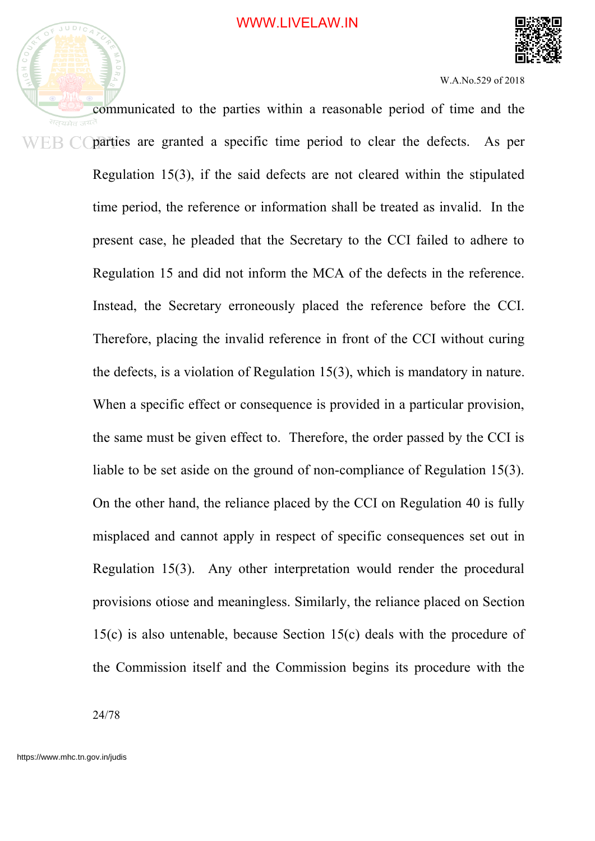

communicated to the parties within a reasonable period of time and the parties are granted a specific time period to clear the defects. As per ER C Regulation 15(3), if the said defects are not cleared within the stipulated time period, the reference or information shall be treated as invalid. In the present case, he pleaded that the Secretary to the CCI failed to adhere to Regulation 15 and did not inform the MCA of the defects in the reference. Instead, the Secretary erroneously placed the reference before the CCI. Therefore, placing the invalid reference in front of the CCI without curing the defects, is a violation of Regulation 15(3), which is mandatory in nature. When a specific effect or consequence is provided in a particular provision, the same must be given effect to. Therefore, the order passed by the CCI is liable to be set aside on the ground of non-compliance of Regulation 15(3). On the other hand, the reliance placed by the CCI on Regulation 40 is fully misplaced and cannot apply in respect of specific consequences set out in Regulation 15(3). Any other interpretation would render the procedural provisions otiose and meaningless. Similarly, the reliance placed on Section 15(c) is also untenable, because Section 15(c) deals with the procedure of the Commission itself and the Commission begins its procedure with the

24/78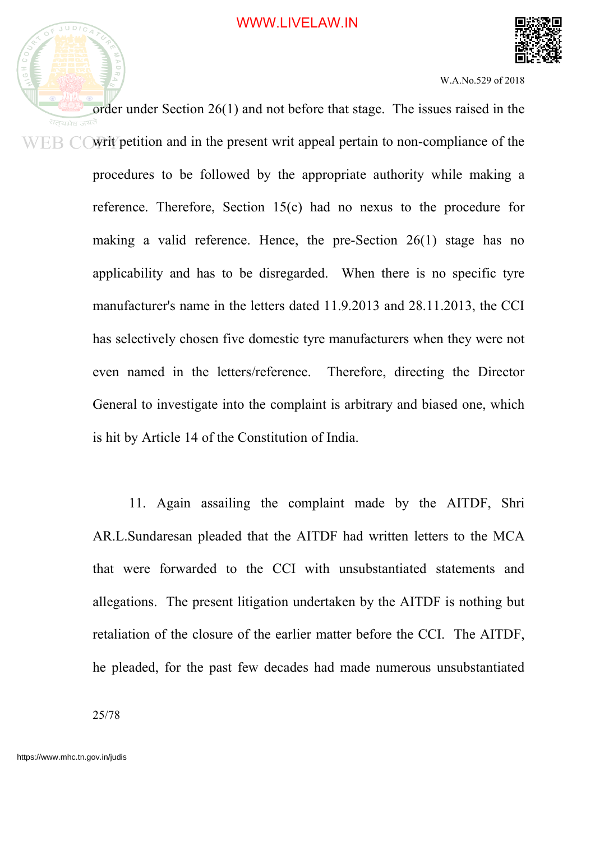

order under Section 26(1) and not before that stage. The issues raised in the सतयमेव ज<sup>यत</sup> writ petition and in the present writ appeal pertain to non-compliance of the WER CO procedures to be followed by the appropriate authority while making a reference. Therefore, Section 15(c) had no nexus to the procedure for making a valid reference. Hence, the pre-Section 26(1) stage has no applicability and has to be disregarded. When there is no specific tyre manufacturer's name in the letters dated 11.9.2013 and 28.11.2013, the CCI has selectively chosen five domestic tyre manufacturers when they were not even named in the letters/reference. Therefore, directing the Director General to investigate into the complaint is arbitrary and biased one, which is hit by Article 14 of the Constitution of India.

> 11. Again assailing the complaint made by the AITDF, Shri AR.L.Sundaresan pleaded that the AITDF had written letters to the MCA that were forwarded to the CCI with unsubstantiated statements and allegations. The present litigation undertaken by the AITDF is nothing but retaliation of the closure of the earlier matter before the CCI. The AITDF, he pleaded, for the past few decades had made numerous unsubstantiated

25/78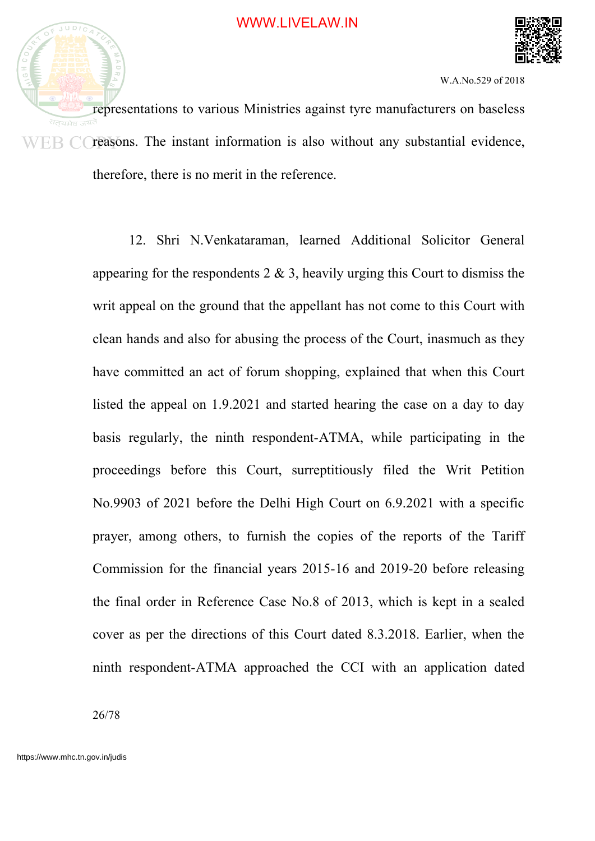

representations to various Ministries against tyre manufacturers on baseless सतयमेव  $F \to C$  (reasons. The instant information is also without any substantial evidence, therefore, there is no merit in the reference.

> 12. Shri N.Venkataraman, learned Additional Solicitor General appearing for the respondents  $2 \& 3$ , heavily urging this Court to dismiss the writ appeal on the ground that the appellant has not come to this Court with clean hands and also for abusing the process of the Court, inasmuch as they have committed an act of forum shopping, explained that when this Court listed the appeal on 1.9.2021 and started hearing the case on a day to day basis regularly, the ninth respondent-ATMA, while participating in the proceedings before this Court, surreptitiously filed the Writ Petition No.9903 of 2021 before the Delhi High Court on 6.9.2021 with a specific prayer, among others, to furnish the copies of the reports of the Tariff Commission for the financial years 2015-16 and 2019-20 before releasing the final order in Reference Case No.8 of 2013, which is kept in a sealed cover as per the directions of this Court dated 8.3.2018. Earlier, when the ninth respondent-ATMA approached the CCI with an application dated

26/78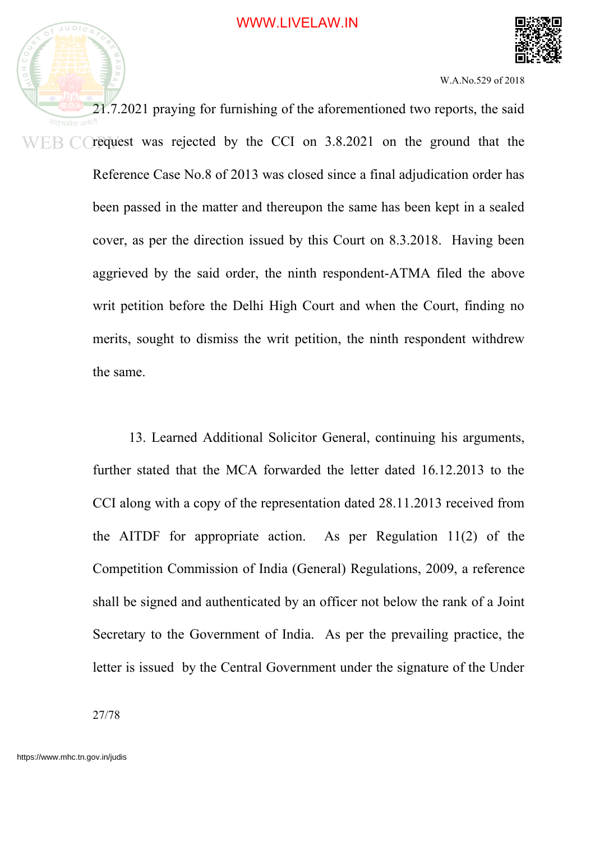

21.7.2021 praying for furnishing of the aforementioned two reports, the said request was rejected by the CCI on 3.8.2021 on the ground that the WER CO Reference Case No.8 of 2013 was closed since a final adjudication order has been passed in the matter and thereupon the same has been kept in a sealed cover, as per the direction issued by this Court on 8.3.2018. Having been aggrieved by the said order, the ninth respondent-ATMA filed the above writ petition before the Delhi High Court and when the Court, finding no merits, sought to dismiss the writ petition, the ninth respondent withdrew the same.

> 13. Learned Additional Solicitor General, continuing his arguments, further stated that the MCA forwarded the letter dated 16.12.2013 to the CCI along with a copy of the representation dated 28.11.2013 received from the AITDF for appropriate action. As per Regulation 11(2) of the Competition Commission of India (General) Regulations, 2009, a reference shall be signed and authenticated by an officer not below the rank of a Joint Secretary to the Government of India. As per the prevailing practice, the letter is issued by the Central Government under the signature of the Under

27/78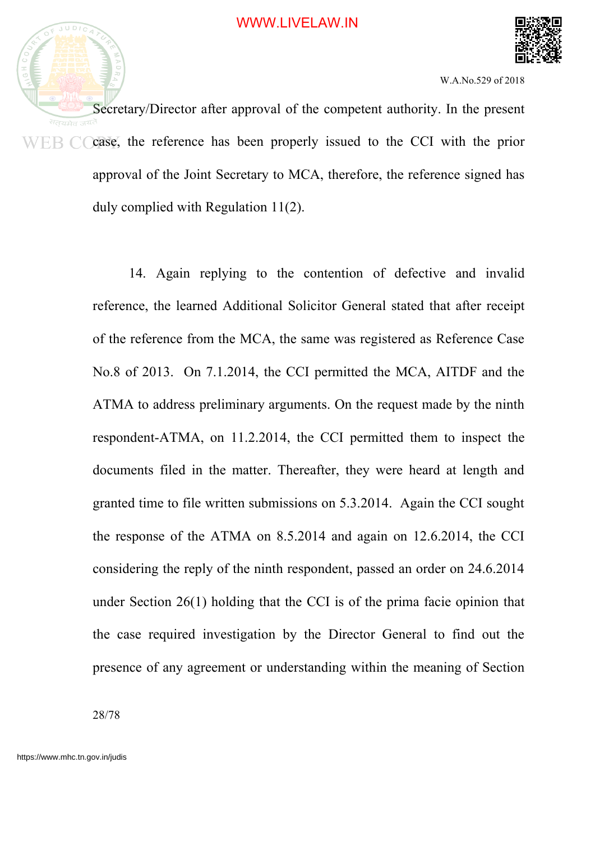



Secretary/Director after approval of the competent authority. In the present case, the reference has been properly issued to the CCI with the prior ER CO approval of the Joint Secretary to MCA, therefore, the reference signed has duly complied with Regulation 11(2).

> 14. Again replying to the contention of defective and invalid reference, the learned Additional Solicitor General stated that after receipt of the reference from the MCA, the same was registered as Reference Case No.8 of 2013. On 7.1.2014, the CCI permitted the MCA, AITDF and the ATMA to address preliminary arguments. On the request made by the ninth respondent-ATMA, on 11.2.2014, the CCI permitted them to inspect the documents filed in the matter. Thereafter, they were heard at length and granted time to file written submissions on 5.3.2014. Again the CCI sought the response of the ATMA on 8.5.2014 and again on 12.6.2014, the CCI considering the reply of the ninth respondent, passed an order on 24.6.2014 under Section 26(1) holding that the CCI is of the prima facie opinion that the case required investigation by the Director General to find out the presence of any agreement or understanding within the meaning of Section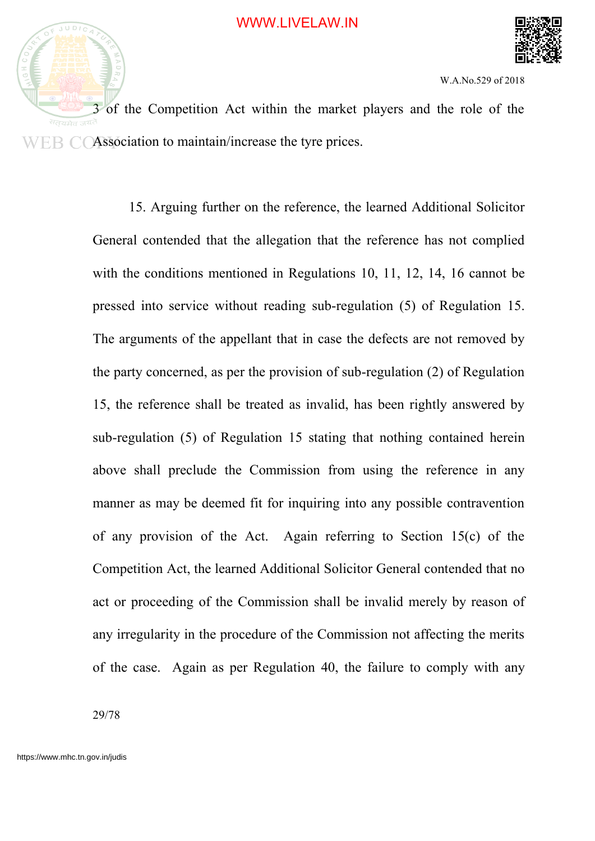

3 of the Competition Act within the market players and the role of the Association to maintain/increase the tyre prices.

> 15. Arguing further on the reference, the learned Additional Solicitor General contended that the allegation that the reference has not complied with the conditions mentioned in Regulations 10, 11, 12, 14, 16 cannot be pressed into service without reading sub-regulation (5) of Regulation 15. The arguments of the appellant that in case the defects are not removed by the party concerned, as per the provision of sub-regulation (2) of Regulation 15, the reference shall be treated as invalid, has been rightly answered by sub-regulation (5) of Regulation 15 stating that nothing contained herein above shall preclude the Commission from using the reference in any manner as may be deemed fit for inquiring into any possible contravention of any provision of the Act. Again referring to Section 15(c) of the Competition Act, the learned Additional Solicitor General contended that no act or proceeding of the Commission shall be invalid merely by reason of any irregularity in the procedure of the Commission not affecting the merits of the case. Again as per Regulation 40, the failure to comply with any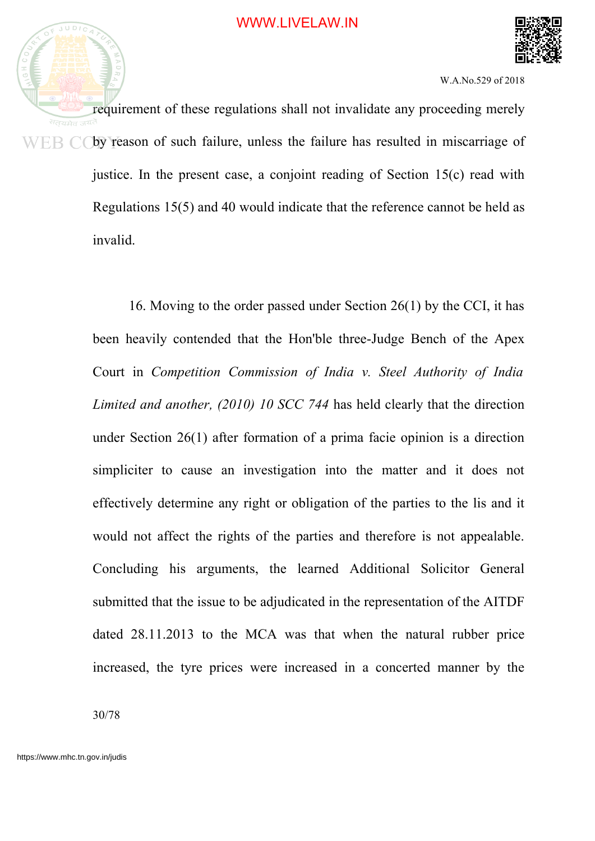

requirement of these regulations shall not invalidate any proceeding merely WEB COby reason of such failure, unless the failure has resulted in miscarriage of justice. In the present case, a conjoint reading of Section 15(c) read with Regulations 15(5) and 40 would indicate that the reference cannot be held as invalid.

> 16. Moving to the order passed under Section 26(1) by the CCI, it has been heavily contended that the Hon'ble three-Judge Bench of the Apex Court in *Competition Commission of India v. Steel Authority of India Limited and another, (2010) 10 SCC 744* has held clearly that the direction under Section 26(1) after formation of a prima facie opinion is a direction simpliciter to cause an investigation into the matter and it does not effectively determine any right or obligation of the parties to the lis and it would not affect the rights of the parties and therefore is not appealable. Concluding his arguments, the learned Additional Solicitor General submitted that the issue to be adjudicated in the representation of the AITDF dated 28.11.2013 to the MCA was that when the natural rubber price increased, the tyre prices were increased in a concerted manner by the

30/78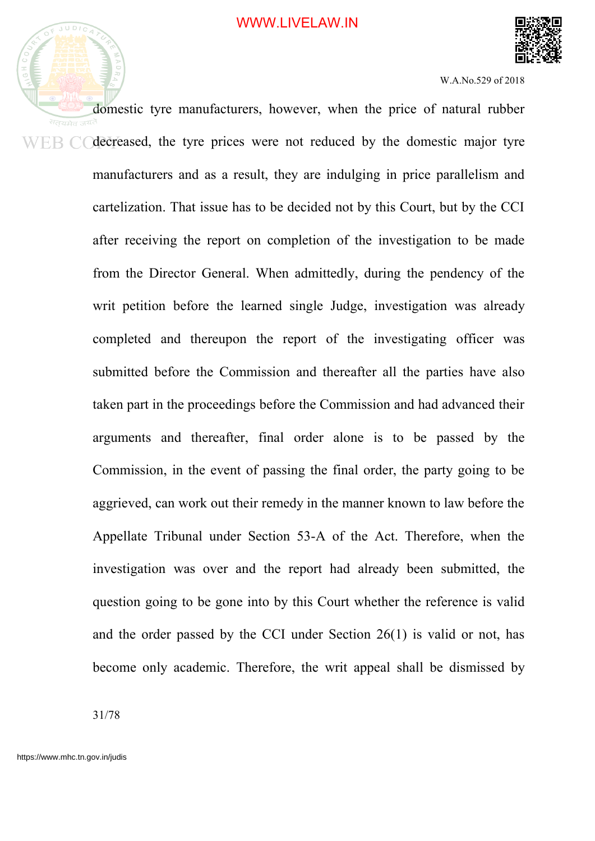

domestic tyre manufacturers, however, when the price of natural rubber decreased, the tyre prices were not reduced by the domestic major tyre ER CO manufacturers and as a result, they are indulging in price parallelism and cartelization. That issue has to be decided not by this Court, but by the CCI after receiving the report on completion of the investigation to be made from the Director General. When admittedly, during the pendency of the writ petition before the learned single Judge, investigation was already completed and thereupon the report of the investigating officer was submitted before the Commission and thereafter all the parties have also taken part in the proceedings before the Commission and had advanced their arguments and thereafter, final order alone is to be passed by the Commission, in the event of passing the final order, the party going to be aggrieved, can work out their remedy in the manner known to law before the Appellate Tribunal under Section 53-A of the Act. Therefore, when the investigation was over and the report had already been submitted, the question going to be gone into by this Court whether the reference is valid and the order passed by the CCI under Section 26(1) is valid or not, has become only academic. Therefore, the writ appeal shall be dismissed by

31/78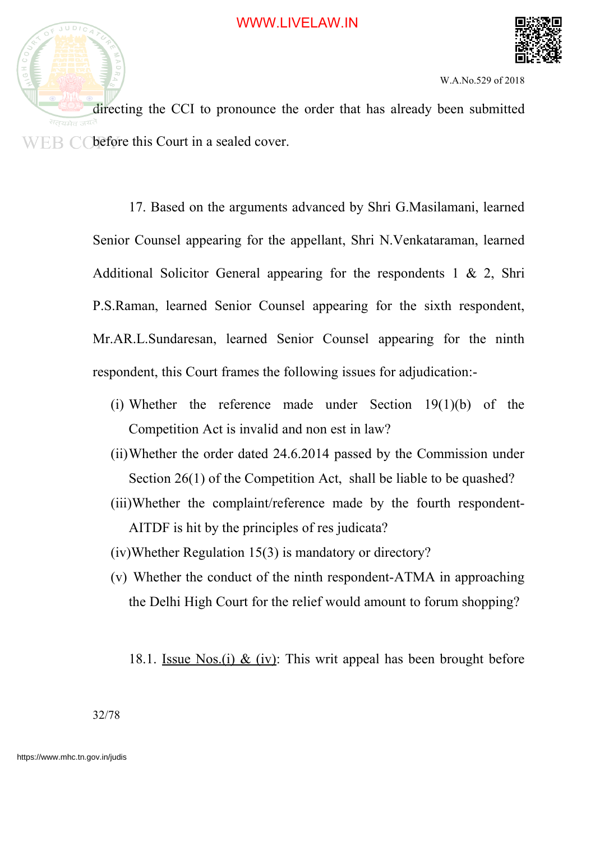

directing the CCI to pronounce the order that has already been submitted  $E\{F\}$   $\bigcap$  before this Court in a sealed cover.

> 17. Based on the arguments advanced by Shri G.Masilamani, learned Senior Counsel appearing for the appellant, Shri N.Venkataraman, learned Additional Solicitor General appearing for the respondents  $1 \& 2$ , Shri P.S.Raman, learned Senior Counsel appearing for the sixth respondent, Mr.AR.L.Sundaresan, learned Senior Counsel appearing for the ninth respondent, this Court frames the following issues for adjudication:-

- (i) Whether the reference made under Section 19(1)(b) of the Competition Act is invalid and non est in law?
- (ii)Whether the order dated 24.6.2014 passed by the Commission under Section 26(1) of the Competition Act, shall be liable to be quashed?
- (iii)Whether the complaint/reference made by the fourth respondent-AITDF is hit by the principles of res judicata?
- (iv)Whether Regulation 15(3) is mandatory or directory?
- (v) Whether the conduct of the ninth respondent-ATMA in approaching the Delhi High Court for the relief would amount to forum shopping?

18.1. Issue Nos.(i) & (iv): This writ appeal has been brought before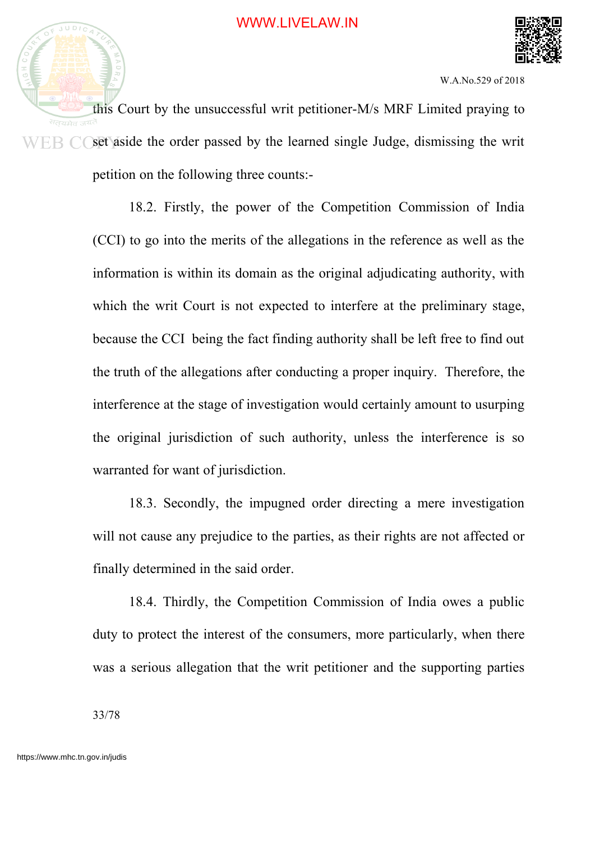

this Court by the unsuccessful writ petitioner-M/s MRF Limited praying to सतयमेव set aside the order passed by the learned single Judge, dismissing the writ ER CO petition on the following three counts:-

> 18.2. Firstly, the power of the Competition Commission of India (CCI) to go into the merits of the allegations in the reference as well as the information is within its domain as the original adjudicating authority, with which the writ Court is not expected to interfere at the preliminary stage, because the CCI being the fact finding authority shall be left free to find out the truth of the allegations after conducting a proper inquiry. Therefore, the interference at the stage of investigation would certainly amount to usurping the original jurisdiction of such authority, unless the interference is so warranted for want of jurisdiction.

> 18.3. Secondly, the impugned order directing a mere investigation will not cause any prejudice to the parties, as their rights are not affected or finally determined in the said order.

> 18.4. Thirdly, the Competition Commission of India owes a public duty to protect the interest of the consumers, more particularly, when there was a serious allegation that the writ petitioner and the supporting parties

33/78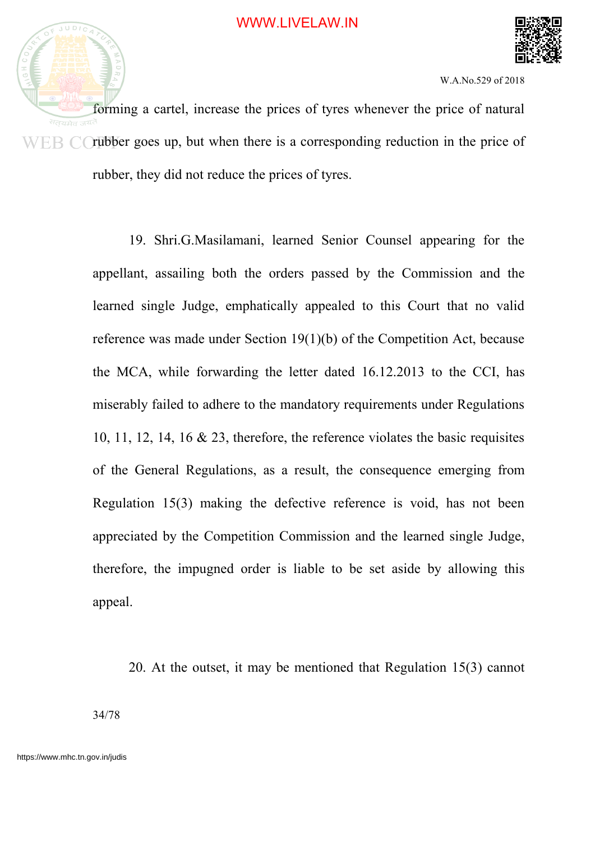

forming a cartel, increase the prices of tyres whenever the price of natural  $WER$  C rubber goes up, but when there is a corresponding reduction in the price of rubber, they did not reduce the prices of tyres.

> 19. Shri.G.Masilamani, learned Senior Counsel appearing for the appellant, assailing both the orders passed by the Commission and the learned single Judge, emphatically appealed to this Court that no valid reference was made under Section 19(1)(b) of the Competition Act, because the MCA, while forwarding the letter dated 16.12.2013 to the CCI, has miserably failed to adhere to the mandatory requirements under Regulations 10, 11, 12, 14, 16 & 23, therefore, the reference violates the basic requisites of the General Regulations, as a result, the consequence emerging from Regulation 15(3) making the defective reference is void, has not been appreciated by the Competition Commission and the learned single Judge, therefore, the impugned order is liable to be set aside by allowing this appeal.

20. At the outset, it may be mentioned that Regulation 15(3) cannot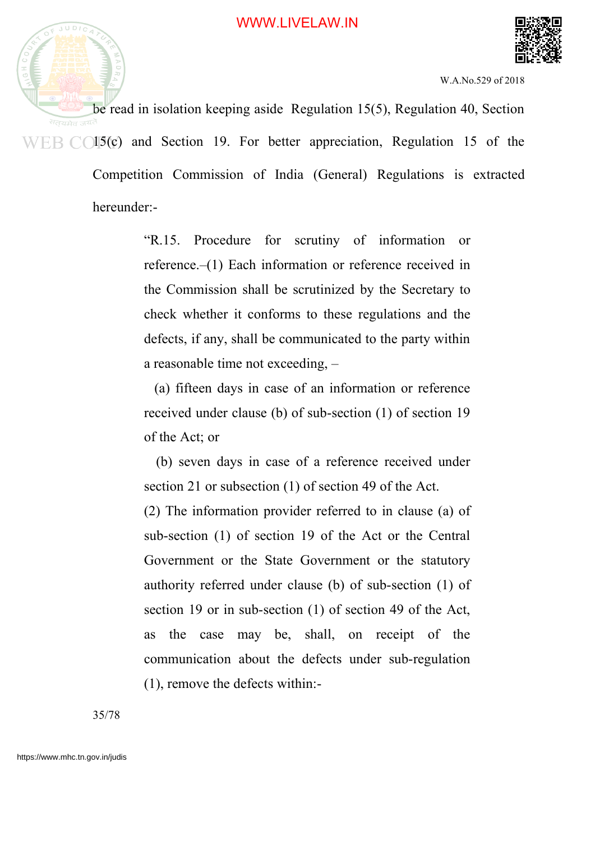

be read in isolation keeping aside Regulation 15(5), Regulation 40, Section  $WEB$   $CO15(c)$  and Section 19. For better appreciation, Regulation 15 of the Competition Commission of India (General) Regulations is extracted

hereunder:-

"R.15. Procedure for scrutiny of information or reference.–(1) Each information or reference received in the Commission shall be scrutinized by the Secretary to check whether it conforms to these regulations and the defects, if any, shall be communicated to the party within a reasonable time not exceeding, –

(a) fifteen days in case of an information or reference received under clause (b) of sub-section (1) of section 19 of the Act; or

(b) seven days in case of a reference received under section 21 or subsection (1) of section 49 of the Act.

(2) The information provider referred to in clause (a) of sub-section (1) of section 19 of the Act or the Central Government or the State Government or the statutory authority referred under clause (b) of sub-section (1) of section 19 or in sub-section (1) of section 49 of the Act, as the case may be, shall, on receipt of the communication about the defects under sub-regulation (1), remove the defects within:-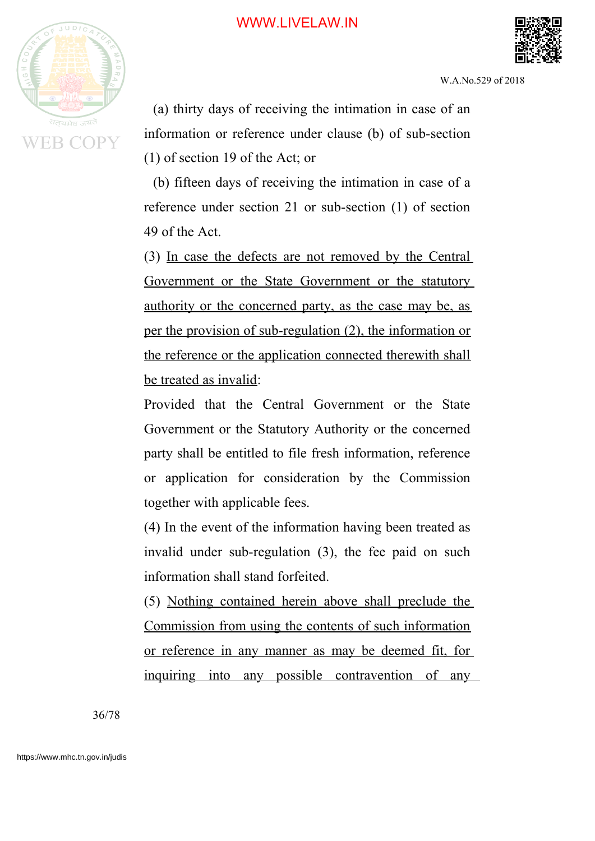



W.A.No.529 of 2018

(a) thirty days of receiving the intimation in case of an information or reference under clause (b) of sub-section (1) of section 19 of the Act; or

(b) fifteen days of receiving the intimation in case of a reference under section 21 or sub-section (1) of section 49 of the Act.

(3) In case the defects are not removed by the Central Government or the State Government or the statutory authority or the concerned party, as the case may be, as per the provision of sub-regulation (2), the information or the reference or the application connected therewith shall be treated as invalid:

Provided that the Central Government or the State Government or the Statutory Authority or the concerned party shall be entitled to file fresh information, reference or application for consideration by the Commission together with applicable fees.

(4) In the event of the information having been treated as invalid under sub-regulation (3), the fee paid on such information shall stand forfeited.

(5) Nothing contained herein above shall preclude the Commission from using the contents of such information or reference in any manner as may be deemed fit, for inquiring into any possible contravention of any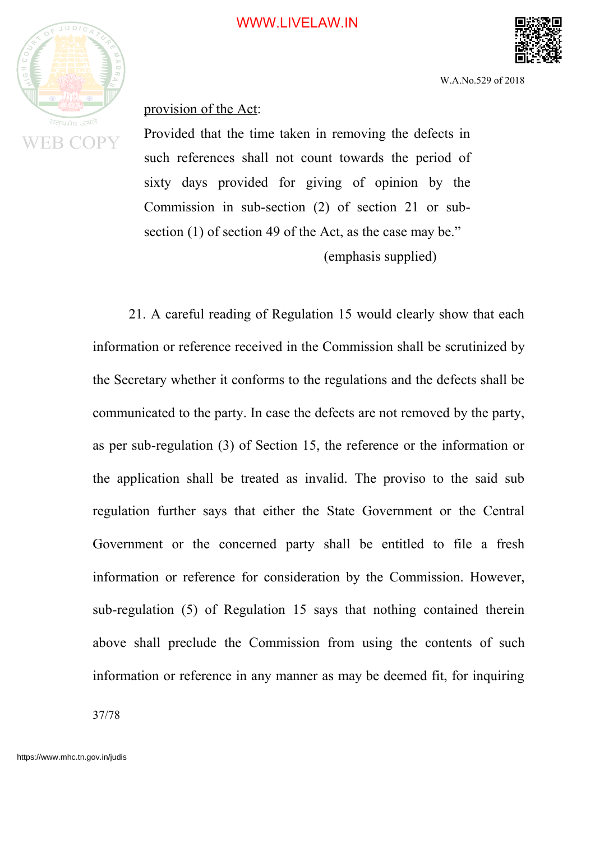

W.A.No.529 of 2018

provision of the Act:

Provided that the time taken in removing the defects in such references shall not count towards the period of sixty days provided for giving of opinion by the Commission in sub-section (2) of section 21 or subsection (1) of section 49 of the Act, as the case may be." (emphasis supplied)

21. A careful reading of Regulation 15 would clearly show that each information or reference received in the Commission shall be scrutinized by the Secretary whether it conforms to the regulations and the defects shall be communicated to the party. In case the defects are not removed by the party, as per sub-regulation (3) of Section 15, the reference or the information or the application shall be treated as invalid. The proviso to the said sub regulation further says that either the State Government or the Central Government or the concerned party shall be entitled to file a fresh information or reference for consideration by the Commission. However, sub-regulation (5) of Regulation 15 says that nothing contained therein above shall preclude the Commission from using the contents of such information or reference in any manner as may be deemed fit, for inquiring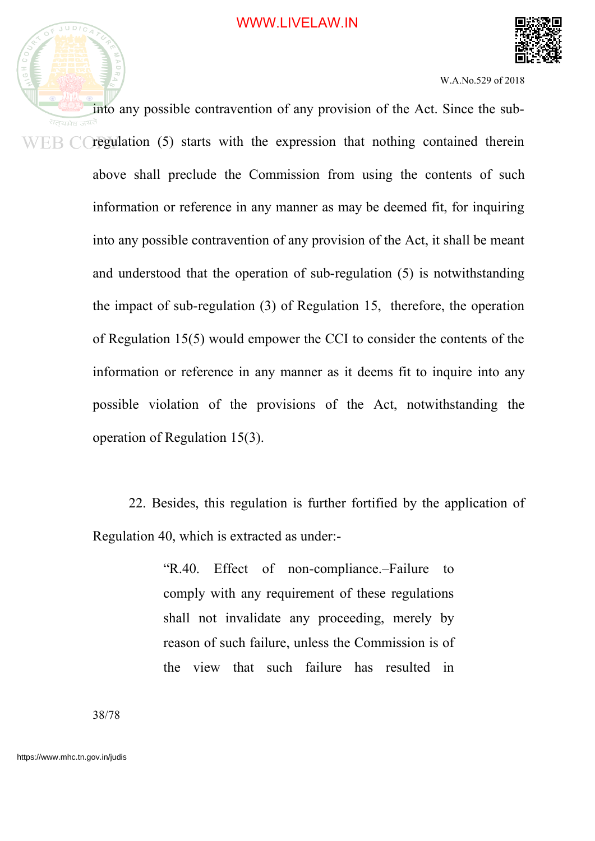

into any possible contravention of any provision of the Act. Since the sub- $WER$   $C$  regulation (5) starts with the expression that nothing contained therein above shall preclude the Commission from using the contents of such information or reference in any manner as may be deemed fit, for inquiring into any possible contravention of any provision of the Act, it shall be meant and understood that the operation of sub-regulation (5) is notwithstanding the impact of sub-regulation (3) of Regulation 15, therefore, the operation of Regulation 15(5) would empower the CCI to consider the contents of the information or reference in any manner as it deems fit to inquire into any possible violation of the provisions of the Act, notwithstanding the operation of Regulation 15(3).

> 22. Besides, this regulation is further fortified by the application of Regulation 40, which is extracted as under:-

> > "R.40. Effect of non-compliance.–Failure to comply with any requirement of these regulations shall not invalidate any proceeding, merely by reason of such failure, unless the Commission is of the view that such failure has resulted in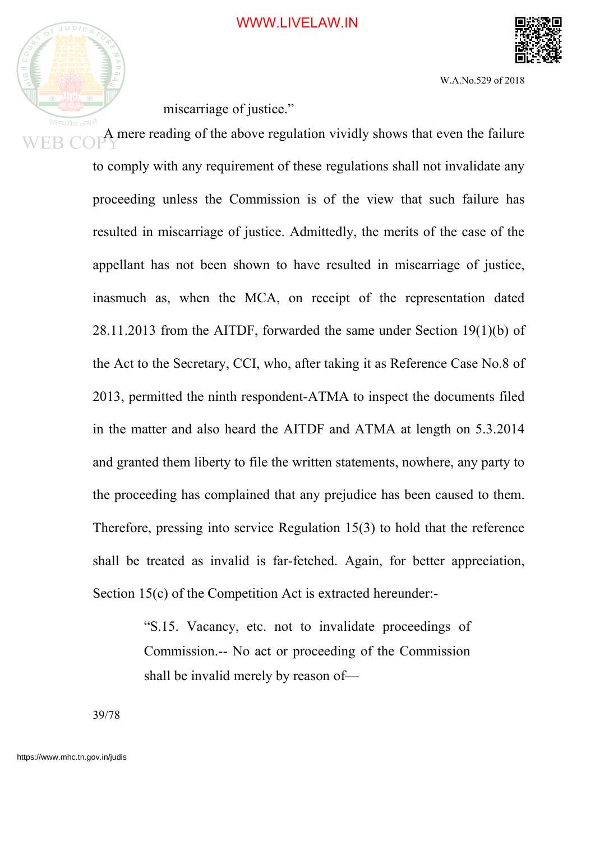

miscarriage of justice."

A mere reading of the above regulation vividly shows that even the failure to comply with any requirement of these regulations shall not invalidate any proceeding unless the Commission is of the view that such failure has resulted in miscarriage of justice. Admittedly, the merits of the case of the appellant has not been shown to have resulted in miscarriage of justice, inasmuch as, when the MCA, on receipt of the representation dated 28.11.2013 from the AITDF, forwarded the same under Section 19(1)(b) of the Act to the Secretary, CCI, who, after taking it as Reference Case No.8 of 2013, permitted the ninth respondent-ATMA to inspect the documents filed in the matter and also heard the AITDF and ATMA at length on 5.3.2014 and granted them liberty to file the written statements, nowhere, any party to the proceeding has complained that any prejudice has been caused to them. Therefore, pressing into service Regulation 15(3) to hold that the reference shall be treated as invalid is far-fetched. Again, for better appreciation, Section 15(c) of the Competition Act is extracted hereunder:-

> "S.15. Vacancy, etc. not to invalidate proceedings of Commission.-- No act or proceeding of the Commission shall be invalid merely by reason of—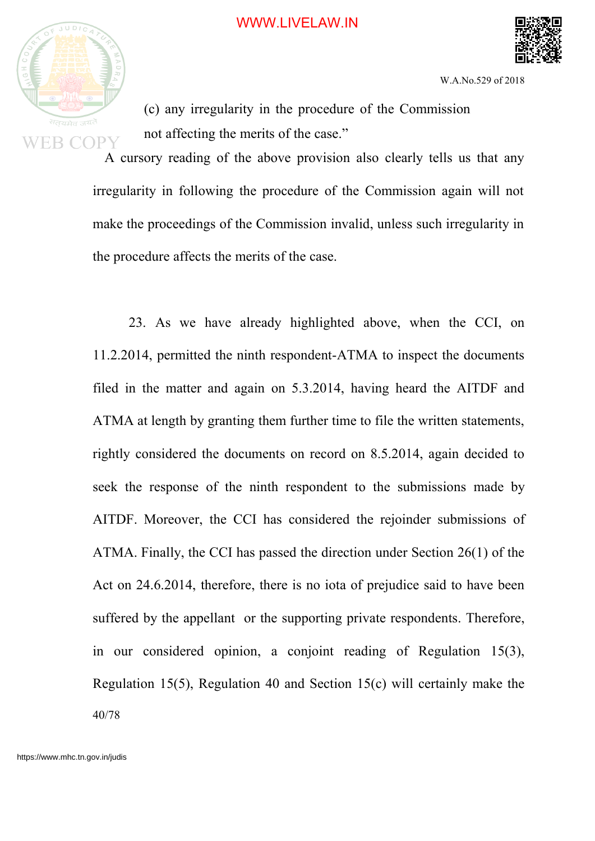

W.A.No.529 of 2018

(c) any irregularity in the procedure of the Commission not affecting the merits of the case."

A cursory reading of the above provision also clearly tells us that any irregularity in following the procedure of the Commission again will not make the proceedings of the Commission invalid, unless such irregularity in the procedure affects the merits of the case.

23. As we have already highlighted above, when the CCI, on 11.2.2014, permitted the ninth respondent-ATMA to inspect the documents filed in the matter and again on 5.3.2014, having heard the AITDF and ATMA at length by granting them further time to file the written statements, rightly considered the documents on record on 8.5.2014, again decided to seek the response of the ninth respondent to the submissions made by AITDF. Moreover, the CCI has considered the rejoinder submissions of ATMA. Finally, the CCI has passed the direction under Section 26(1) of the Act on 24.6.2014, therefore, there is no iota of prejudice said to have been suffered by the appellant or the supporting private respondents. Therefore, in our considered opinion, a conjoint reading of Regulation 15(3), Regulation 15(5), Regulation 40 and Section 15(c) will certainly make the 40/78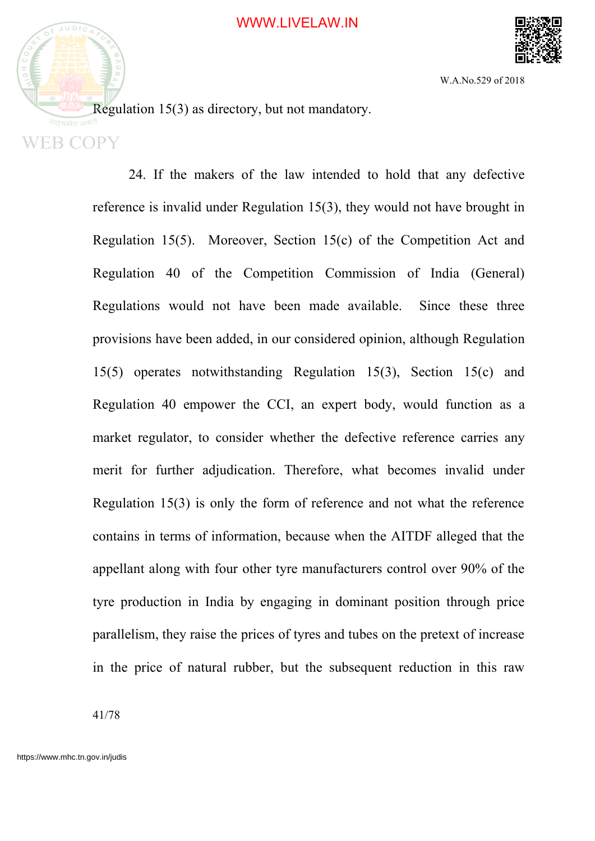



Regulation 15(3) as directory, but not mandatory.

24. If the makers of the law intended to hold that any defective reference is invalid under Regulation 15(3), they would not have brought in Regulation 15(5). Moreover, Section 15(c) of the Competition Act and Regulation 40 of the Competition Commission of India (General) Regulations would not have been made available. Since these three provisions have been added, in our considered opinion, although Regulation 15(5) operates notwithstanding Regulation 15(3), Section 15(c) and Regulation 40 empower the CCI, an expert body, would function as a market regulator, to consider whether the defective reference carries any merit for further adjudication. Therefore, what becomes invalid under Regulation 15(3) is only the form of reference and not what the reference contains in terms of information, because when the AITDF alleged that the appellant along with four other tyre manufacturers control over 90% of the tyre production in India by engaging in dominant position through price parallelism, they raise the prices of tyres and tubes on the pretext of increase in the price of natural rubber, but the subsequent reduction in this raw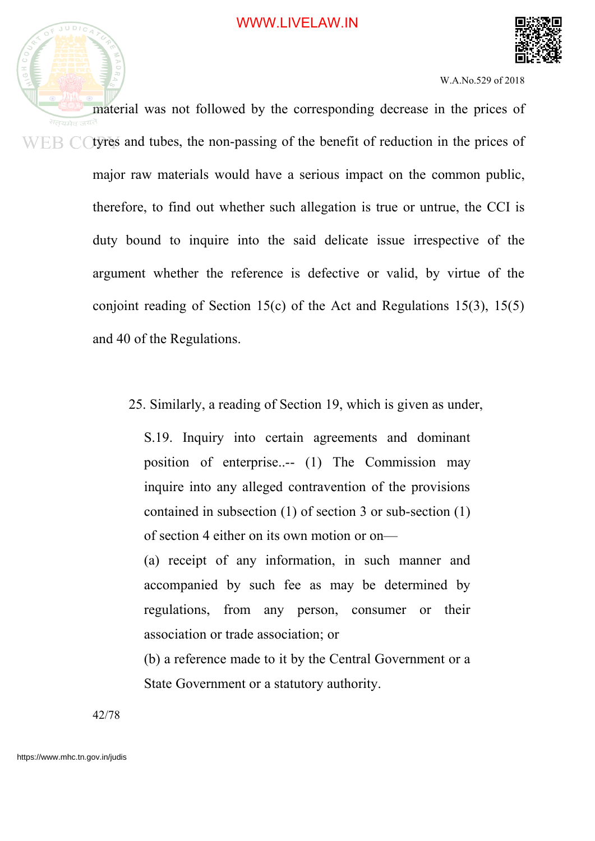

material was not followed by the corresponding decrease in the prices of  $WEB$  C (tyres and tubes, the non-passing of the benefit of reduction in the prices of major raw materials would have a serious impact on the common public, therefore, to find out whether such allegation is true or untrue, the CCI is duty bound to inquire into the said delicate issue irrespective of the argument whether the reference is defective or valid, by virtue of the conjoint reading of Section 15(c) of the Act and Regulations 15(3), 15(5) and 40 of the Regulations.

25. Similarly, a reading of Section 19, which is given as under,

S.19. Inquiry into certain agreements and dominant position of enterprise..-- (1) The Commission may inquire into any alleged contravention of the provisions contained in subsection (1) of section 3 or sub-section (1) of section 4 either on its own motion or on—

(a) receipt of any information, in such manner and accompanied by such fee as may be determined by regulations, from any person, consumer or their association or trade association; or

(b) a reference made to it by the Central Government or a State Government or a statutory authority.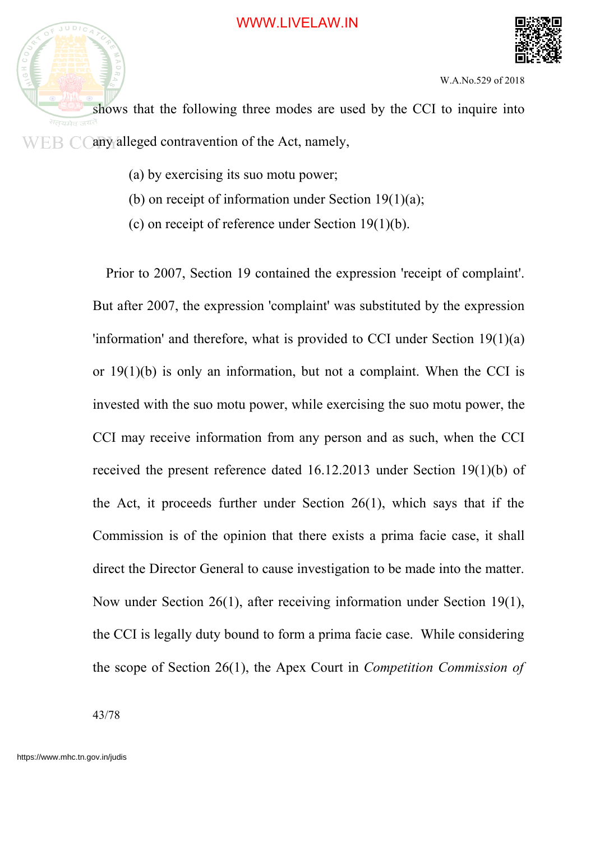

shows that the following three modes are used by the CCI to inquire into सतयमेव ज<sup>यत</sup>  $WEB$   $\dot{\bigcirc}$  (any alleged contravention of the Act, namely,

- (a) by exercising its suo motu power;
- (b) on receipt of information under Section  $19(1)(a)$ ;
- (c) on receipt of reference under Section 19(1)(b).

Prior to 2007, Section 19 contained the expression 'receipt of complaint'. But after 2007, the expression 'complaint' was substituted by the expression 'information' and therefore, what is provided to CCI under Section 19(1)(a) or 19(1)(b) is only an information, but not a complaint. When the CCI is invested with the suo motu power, while exercising the suo motu power, the CCI may receive information from any person and as such, when the CCI received the present reference dated 16.12.2013 under Section 19(1)(b) of the Act, it proceeds further under Section 26(1), which says that if the Commission is of the opinion that there exists a prima facie case, it shall direct the Director General to cause investigation to be made into the matter. Now under Section 26(1), after receiving information under Section 19(1), the CCI is legally duty bound to form a prima facie case. While considering the scope of Section 26(1), the Apex Court in *Competition Commission of*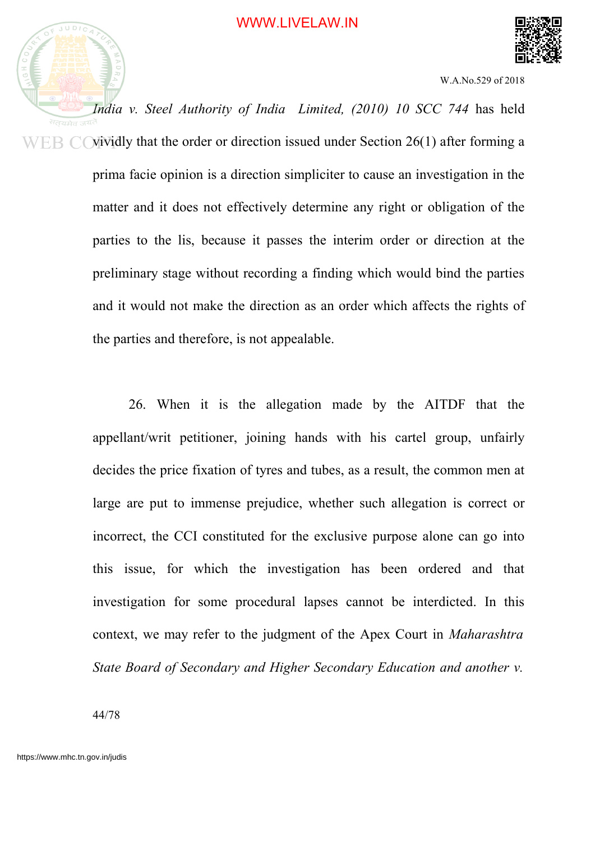

*India v. Steel Authority of India Limited, (2010) 10 SCC 744* has held सतयमेव vividly that the order or direction issued under Section 26(1) after forming a ER ( prima facie opinion is a direction simpliciter to cause an investigation in the matter and it does not effectively determine any right or obligation of the parties to the lis, because it passes the interim order or direction at the preliminary stage without recording a finding which would bind the parties and it would not make the direction as an order which affects the rights of the parties and therefore, is not appealable.

> 26. When it is the allegation made by the AITDF that the appellant/writ petitioner, joining hands with his cartel group, unfairly decides the price fixation of tyres and tubes, as a result, the common men at large are put to immense prejudice, whether such allegation is correct or incorrect, the CCI constituted for the exclusive purpose alone can go into this issue, for which the investigation has been ordered and that investigation for some procedural lapses cannot be interdicted. In this context, we may refer to the judgment of the Apex Court in *Maharashtra State Board of Secondary and Higher Secondary Education and another v.*

44/78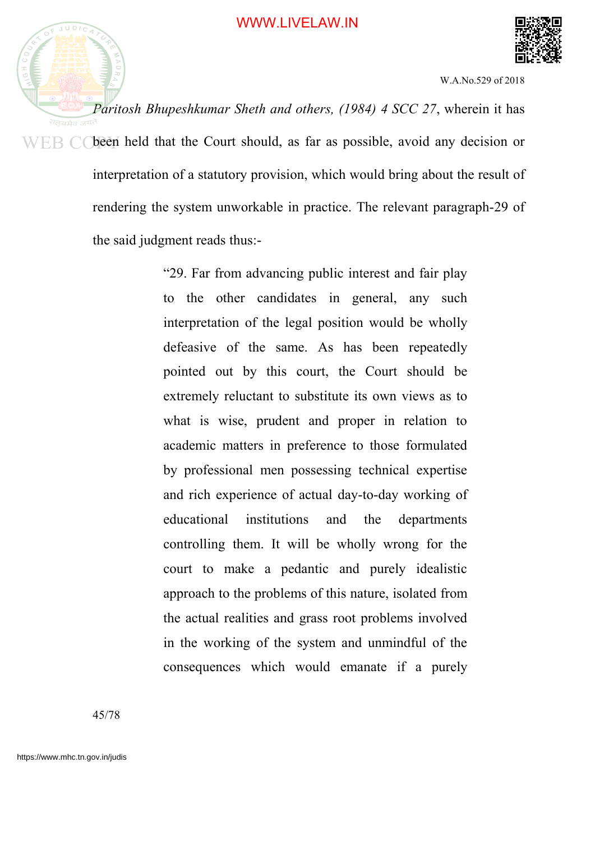

*Paritosh Bhupeshkumar Sheth and others, (1984) 4 SCC 27*, wherein it has  $WEB$  C been held that the Court should, as far as possible, avoid any decision or interpretation of a statutory provision, which would bring about the result of rendering the system unworkable in practice. The relevant paragraph-29 of the said judgment reads thus:-

> "29. Far from advancing public interest and fair play to the other candidates in general, any such interpretation of the legal position would be wholly defeasive of the same. As has been repeatedly pointed out by this court, the Court should be extremely reluctant to substitute its own views as to what is wise, prudent and proper in relation to academic matters in preference to those formulated by professional men possessing technical expertise and rich experience of actual day-to-day working of educational institutions and the departments controlling them. It will be wholly wrong for the court to make a pedantic and purely idealistic approach to the problems of this nature, isolated from the actual realities and grass root problems involved in the working of the system and unmindful of the consequences which would emanate if a purely

45/78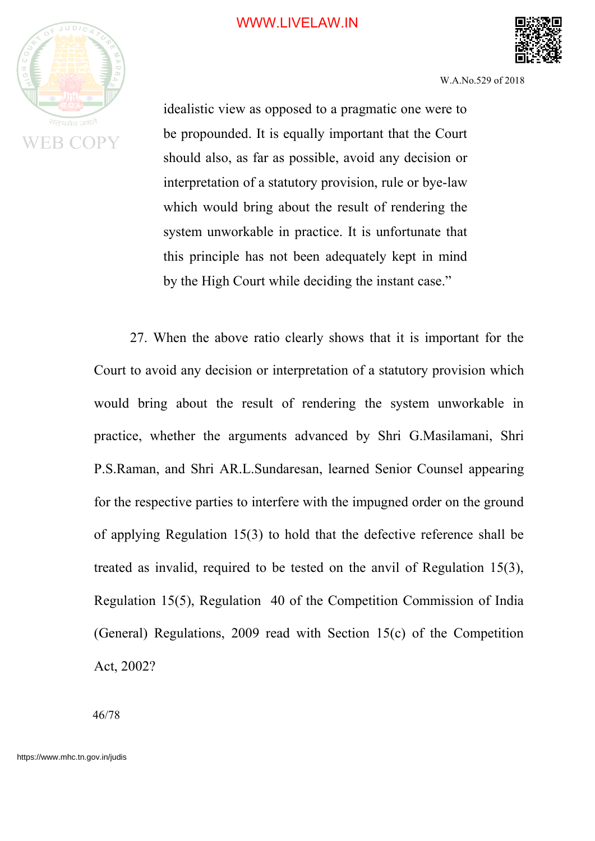

W.A.No.529 of 2018

idealistic view as opposed to a pragmatic one were to be propounded. It is equally important that the Court should also, as far as possible, avoid any decision or interpretation of a statutory provision, rule or bye-law which would bring about the result of rendering the system unworkable in practice. It is unfortunate that this principle has not been adequately kept in mind by the High Court while deciding the instant case."

27. When the above ratio clearly shows that it is important for the Court to avoid any decision or interpretation of a statutory provision which would bring about the result of rendering the system unworkable in practice, whether the arguments advanced by Shri G.Masilamani, Shri P.S.Raman, and Shri AR.L.Sundaresan, learned Senior Counsel appearing for the respective parties to interfere with the impugned order on the ground of applying Regulation 15(3) to hold that the defective reference shall be treated as invalid, required to be tested on the anvil of Regulation 15(3), Regulation 15(5), Regulation 40 of the Competition Commission of India (General) Regulations, 2009 read with Section 15(c) of the Competition Act, 2002?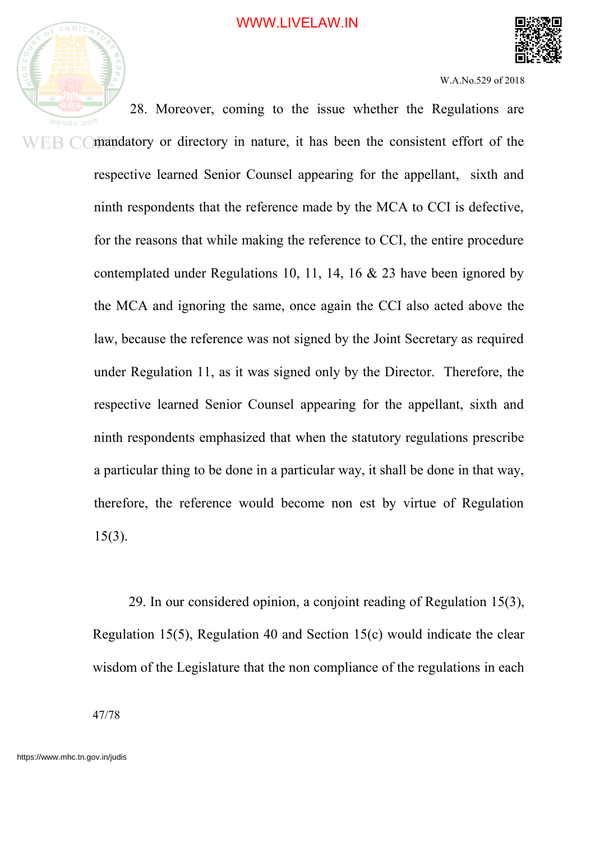



W.A.No.529 of 2018

28. Moreover, coming to the issue whether the Regulations are EB COmandatory or directory in nature, it has been the consistent effort of the respective learned Senior Counsel appearing for the appellant, sixth and ninth respondents that the reference made by the MCA to CCI is defective, for the reasons that while making the reference to CCI, the entire procedure contemplated under Regulations 10, 11, 14, 16 & 23 have been ignored by the MCA and ignoring the same, once again the CCI also acted above the law, because the reference was not signed by the Joint Secretary as required under Regulation 11, as it was signed only by the Director. Therefore, the respective learned Senior Counsel appearing for the appellant, sixth and ninth respondents emphasized that when the statutory regulations prescribe a particular thing to be done in a particular way, it shall be done in that way, therefore, the reference would become non est by virtue of Regulation 15(3).

> 29. In our considered opinion, a conjoint reading of Regulation 15(3), Regulation 15(5), Regulation 40 and Section 15(c) would indicate the clear wisdom of the Legislature that the non compliance of the regulations in each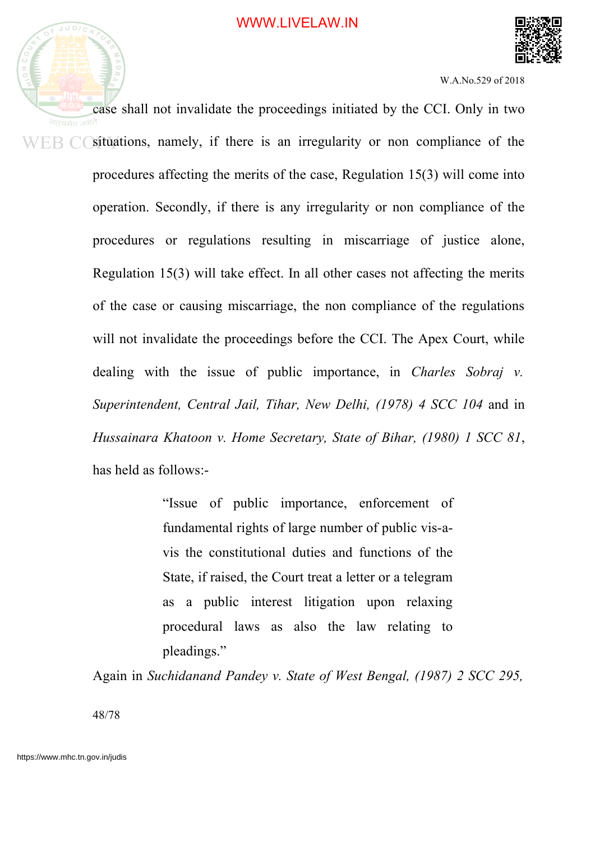



case shall not invalidate the proceedings initiated by the CCI. Only in two  $WEB$   $C$  situations, namely, if there is an irregularity or non compliance of the procedures affecting the merits of the case, Regulation 15(3) will come into operation. Secondly, if there is any irregularity or non compliance of the procedures or regulations resulting in miscarriage of justice alone, Regulation 15(3) will take effect. In all other cases not affecting the merits of the case or causing miscarriage, the non compliance of the regulations will not invalidate the proceedings before the CCI. The Apex Court, while dealing with the issue of public importance, in *Charles Sobraj v. Superintendent, Central Jail, Tihar, New Delhi, (1978) 4 SCC 104* and in *Hussainara Khatoon v. Home Secretary, State of Bihar, (1980) 1 SCC 81*, has held as follows:-

> "Issue of public importance, enforcement of fundamental rights of large number of public vis-avis the constitutional duties and functions of the State, if raised, the Court treat a letter or a telegram as a public interest litigation upon relaxing procedural laws as also the law relating to pleadings."

Again in *Suchidanand Pandey v. State of West Bengal, (1987) 2 SCC 295,*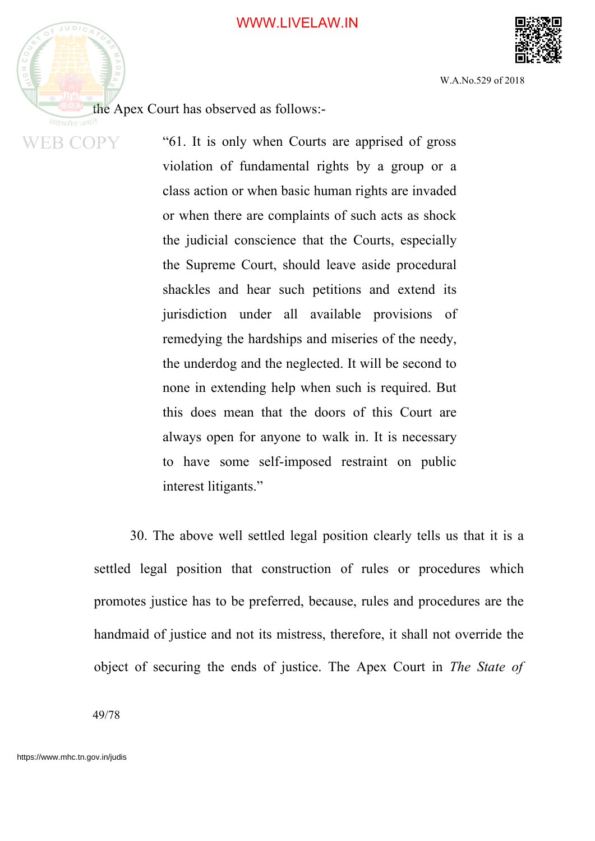

**WEB COPY** 

W.A.No.529 of 2018

the Apex Court has observed as follows:-

"61. It is only when Courts are apprised of gross violation of fundamental rights by a group or a class action or when basic human rights are invaded or when there are complaints of such acts as shock the judicial conscience that the Courts, especially the Supreme Court, should leave aside procedural shackles and hear such petitions and extend its jurisdiction under all available provisions of remedying the hardships and miseries of the needy, the underdog and the neglected. It will be second to none in extending help when such is required. But this does mean that the doors of this Court are always open for anyone to walk in. It is necessary to have some self-imposed restraint on public interest litigants."

30. The above well settled legal position clearly tells us that it is a settled legal position that construction of rules or procedures which promotes justice has to be preferred, because, rules and procedures are the handmaid of justice and not its mistress, therefore, it shall not override the object of securing the ends of justice. The Apex Court in *The State of*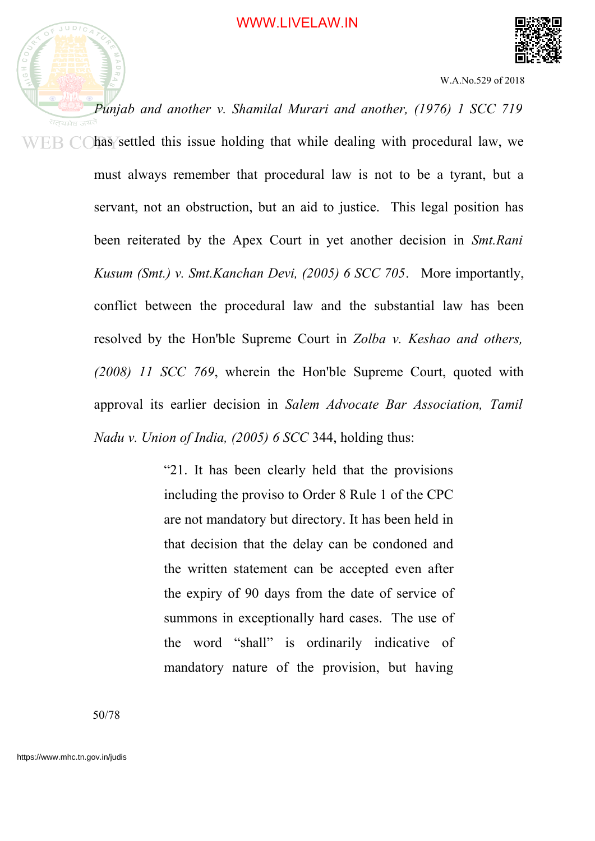

*Punjab and another v. Shamilal Murari and another, (1976) 1 SCC 719*  $WEB$  C  $\bigcirc$  has settled this issue holding that while dealing with procedural law, we must always remember that procedural law is not to be a tyrant, but a servant, not an obstruction, but an aid to justice. This legal position has been reiterated by the Apex Court in yet another decision in *Smt.Rani Kusum (Smt.) v. Smt.Kanchan Devi, (2005) 6 SCC 705*. More importantly, conflict between the procedural law and the substantial law has been resolved by the Hon'ble Supreme Court in *Zolba v. Keshao and others, (2008) 11 SCC 769*, wherein the Hon'ble Supreme Court, quoted with approval its earlier decision in *Salem Advocate Bar Association, Tamil Nadu v. Union of India, (2005) 6 SCC* 344, holding thus:

> "21. It has been clearly held that the provisions including the proviso to Order 8 Rule 1 of the CPC are not mandatory but directory. It has been held in that decision that the delay can be condoned and the written statement can be accepted even after the expiry of 90 days from the date of service of summons in exceptionally hard cases. The use of the word "shall" is ordinarily indicative of mandatory nature of the provision, but having

50/78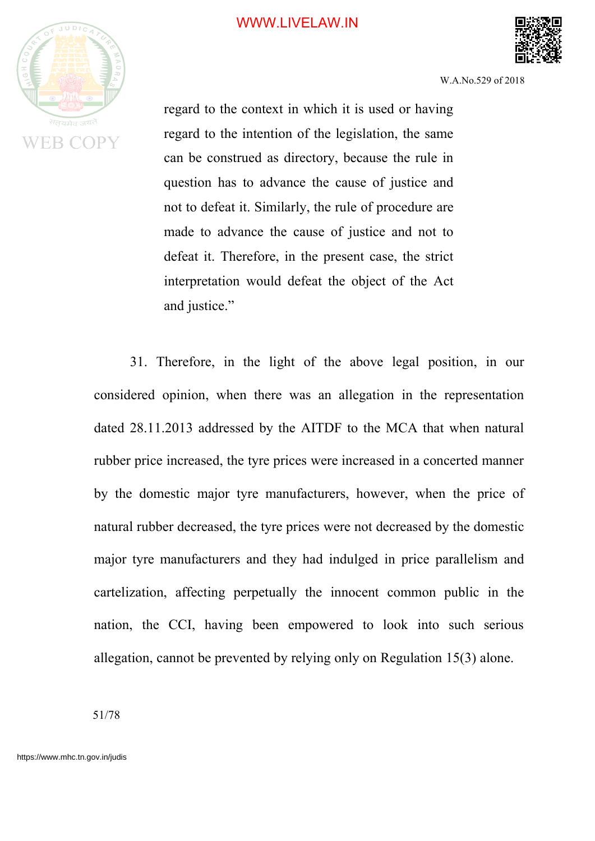

W.A.No.529 of 2018

regard to the context in which it is used or having regard to the intention of the legislation, the same can be construed as directory, because the rule in question has to advance the cause of justice and not to defeat it. Similarly, the rule of procedure are made to advance the cause of justice and not to defeat it. Therefore, in the present case, the strict interpretation would defeat the object of the Act and justice."

31. Therefore, in the light of the above legal position, in our considered opinion, when there was an allegation in the representation dated 28.11.2013 addressed by the AITDF to the MCA that when natural rubber price increased, the tyre prices were increased in a concerted manner by the domestic major tyre manufacturers, however, when the price of natural rubber decreased, the tyre prices were not decreased by the domestic major tyre manufacturers and they had indulged in price parallelism and cartelization, affecting perpetually the innocent common public in the nation, the CCI, having been empowered to look into such serious allegation, cannot be prevented by relying only on Regulation 15(3) alone.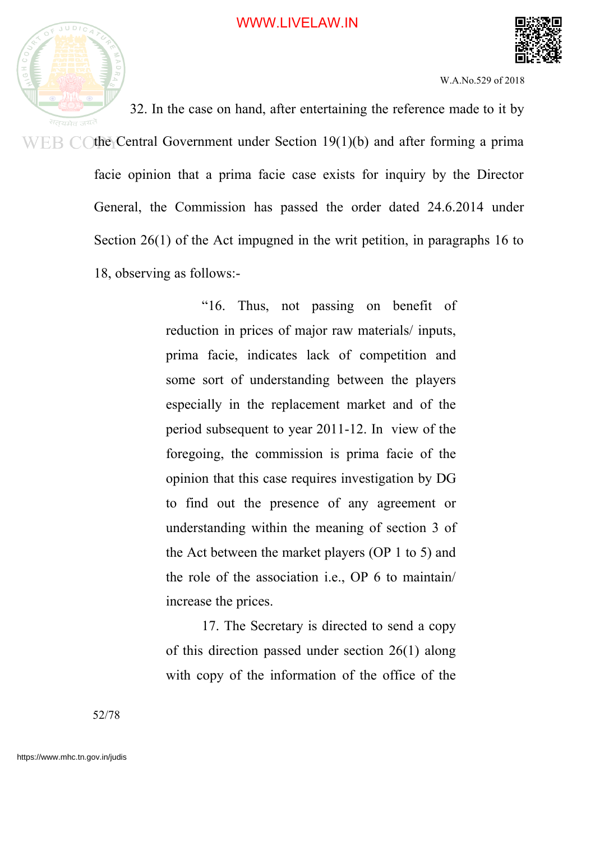

32. In the case on hand, after entertaining the reference made to it by  $E\rightarrow$  C (the Central Government under Section 19(1)(b) and after forming a prima facie opinion that a prima facie case exists for inquiry by the Director General, the Commission has passed the order dated 24.6.2014 under Section 26(1) of the Act impugned in the writ petition, in paragraphs 16 to 18, observing as follows:-

> "16. Thus, not passing on benefit of reduction in prices of major raw materials/ inputs, prima facie, indicates lack of competition and some sort of understanding between the players especially in the replacement market and of the period subsequent to year 2011-12. In view of the foregoing, the commission is prima facie of the opinion that this case requires investigation by DG to find out the presence of any agreement or understanding within the meaning of section 3 of the Act between the market players (OP 1 to 5) and the role of the association i.e., OP 6 to maintain/ increase the prices.

> 17. The Secretary is directed to send a copy of this direction passed under section 26(1) along with copy of the information of the office of the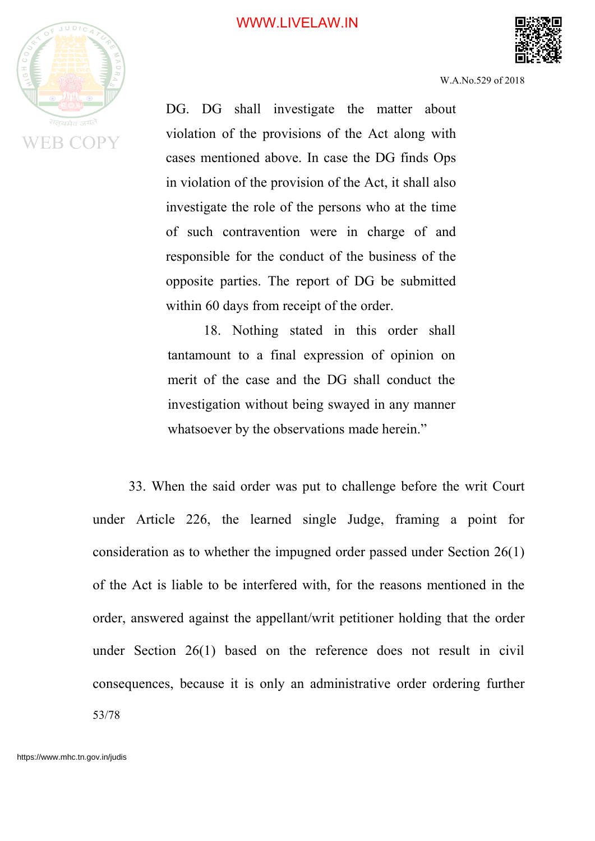

W.A.No.529 of 2018

DG. DG shall investigate the matter about violation of the provisions of the Act along with cases mentioned above. In case the DG finds Ops in violation of the provision of the Act, it shall also investigate the role of the persons who at the time of such contravention were in charge of and responsible for the conduct of the business of the opposite parties. The report of DG be submitted within 60 days from receipt of the order.

18. Nothing stated in this order shall tantamount to a final expression of opinion on merit of the case and the DG shall conduct the investigation without being swayed in any manner whatsoever by the observations made herein."

33. When the said order was put to challenge before the writ Court under Article 226, the learned single Judge, framing a point for consideration as to whether the impugned order passed under Section 26(1) of the Act is liable to be interfered with, for the reasons mentioned in the order, answered against the appellant/writ petitioner holding that the order under Section 26(1) based on the reference does not result in civil consequences, because it is only an administrative order ordering further 53/78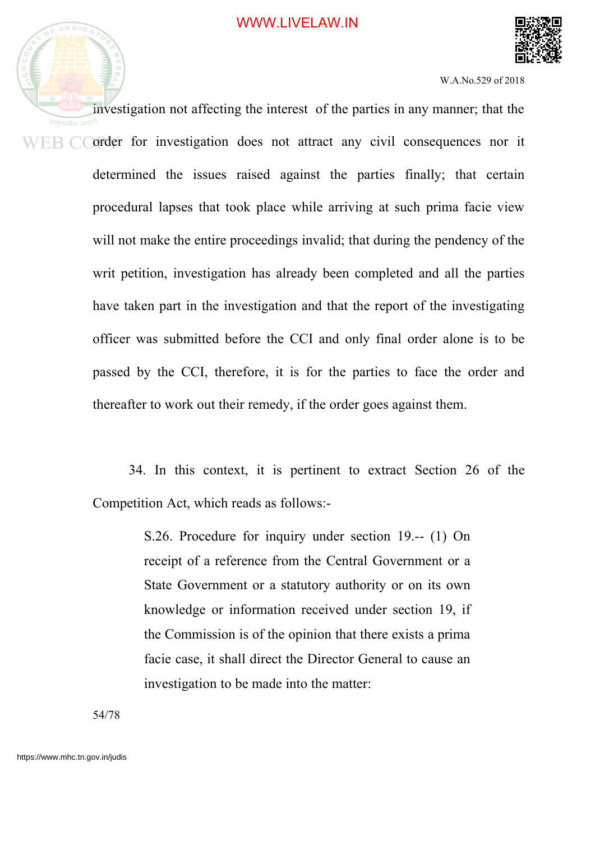

investigation not affecting the interest of the parties in any manner; that the WEB COrder for investigation does not attract any civil consequences nor it determined the issues raised against the parties finally; that certain procedural lapses that took place while arriving at such prima facie view will not make the entire proceedings invalid; that during the pendency of the writ petition, investigation has already been completed and all the parties have taken part in the investigation and that the report of the investigating officer was submitted before the CCI and only final order alone is to be passed by the CCI, therefore, it is for the parties to face the order and thereafter to work out their remedy, if the order goes against them.

> 34. In this context, it is pertinent to extract Section 26 of the Competition Act, which reads as follows:-

> > S.26. Procedure for inquiry under section 19.-- (1) On receipt of a reference from the Central Government or a State Government or a statutory authority or on its own knowledge or information received under section 19, if the Commission is of the opinion that there exists a prima facie case, it shall direct the Director General to cause an investigation to be made into the matter:

54/78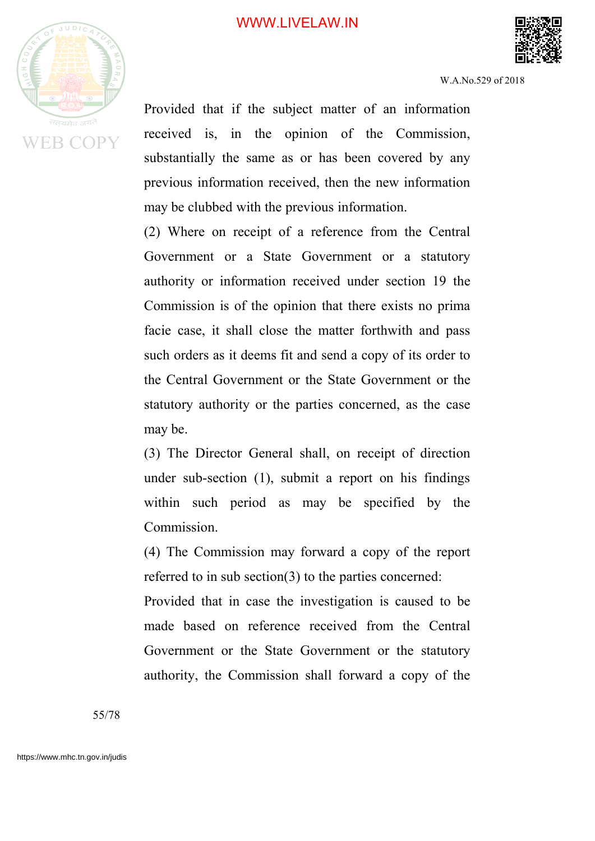

W.A.No.529 of 2018

Provided that if the subject matter of an information received is, in the opinion of the Commission, substantially the same as or has been covered by any previous information received, then the new information may be clubbed with the previous information.

(2) Where on receipt of a reference from the Central Government or a State Government or a statutory authority or information received under section 19 the Commission is of the opinion that there exists no prima facie case, it shall close the matter forthwith and pass such orders as it deems fit and send a copy of its order to the Central Government or the State Government or the statutory authority or the parties concerned, as the case may be.

(3) The Director General shall, on receipt of direction under sub-section (1), submit a report on his findings within such period as may be specified by the Commission.

(4) The Commission may forward a copy of the report referred to in sub section(3) to the parties concerned:

Provided that in case the investigation is caused to be made based on reference received from the Central Government or the State Government or the statutory authority, the Commission shall forward a copy of the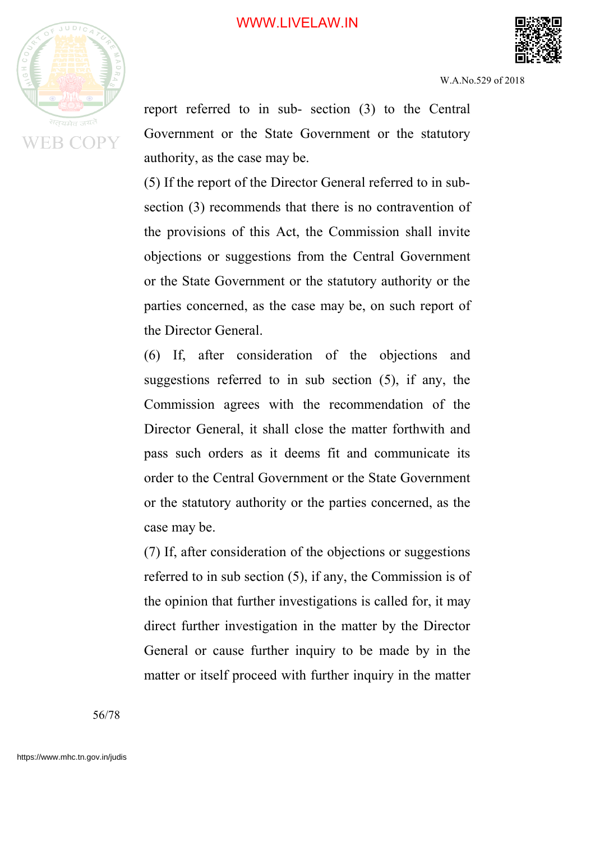



W.A.No.529 of 2018

report referred to in sub- section (3) to the Central Government or the State Government or the statutory authority, as the case may be.

(5) If the report of the Director General referred to in subsection (3) recommends that there is no contravention of the provisions of this Act, the Commission shall invite objections or suggestions from the Central Government or the State Government or the statutory authority or the parties concerned, as the case may be, on such report of the Director General.

(6) If, after consideration of the objections and suggestions referred to in sub section (5), if any, the Commission agrees with the recommendation of the Director General, it shall close the matter forthwith and pass such orders as it deems fit and communicate its order to the Central Government or the State Government or the statutory authority or the parties concerned, as the case may be.

(7) If, after consideration of the objections or suggestions referred to in sub section (5), if any, the Commission is of the opinion that further investigations is called for, it may direct further investigation in the matter by the Director General or cause further inquiry to be made by in the matter or itself proceed with further inquiry in the matter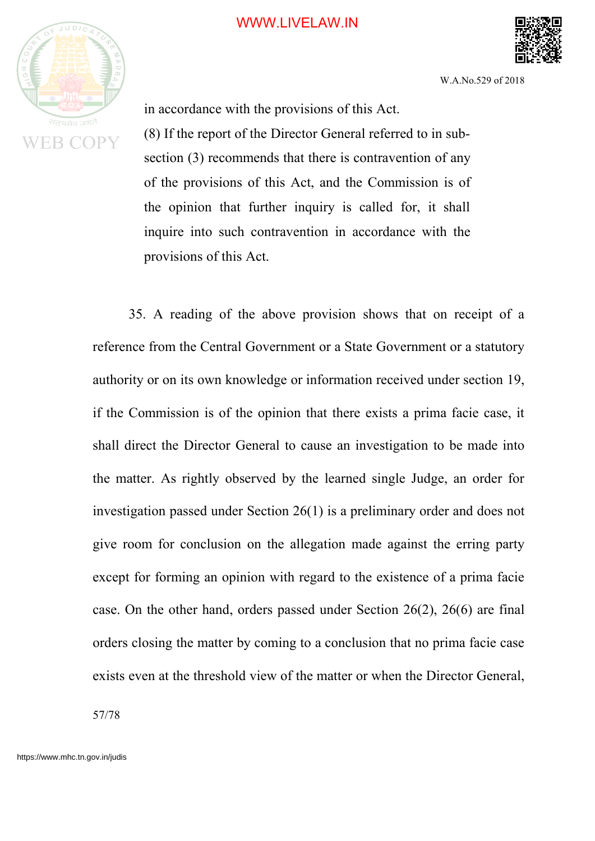

W.A.No.529 of 2018

in accordance with the provisions of this Act.

(8) If the report of the Director General referred to in subsection (3) recommends that there is contravention of any of the provisions of this Act, and the Commission is of the opinion that further inquiry is called for, it shall inquire into such contravention in accordance with the provisions of this Act.

35. A reading of the above provision shows that on receipt of a reference from the Central Government or a State Government or a statutory authority or on its own knowledge or information received under section 19, if the Commission is of the opinion that there exists a prima facie case, it shall direct the Director General to cause an investigation to be made into the matter. As rightly observed by the learned single Judge, an order for investigation passed under Section 26(1) is a preliminary order and does not give room for conclusion on the allegation made against the erring party except for forming an opinion with regard to the existence of a prima facie case. On the other hand, orders passed under Section 26(2), 26(6) are final orders closing the matter by coming to a conclusion that no prima facie case exists even at the threshold view of the matter or when the Director General,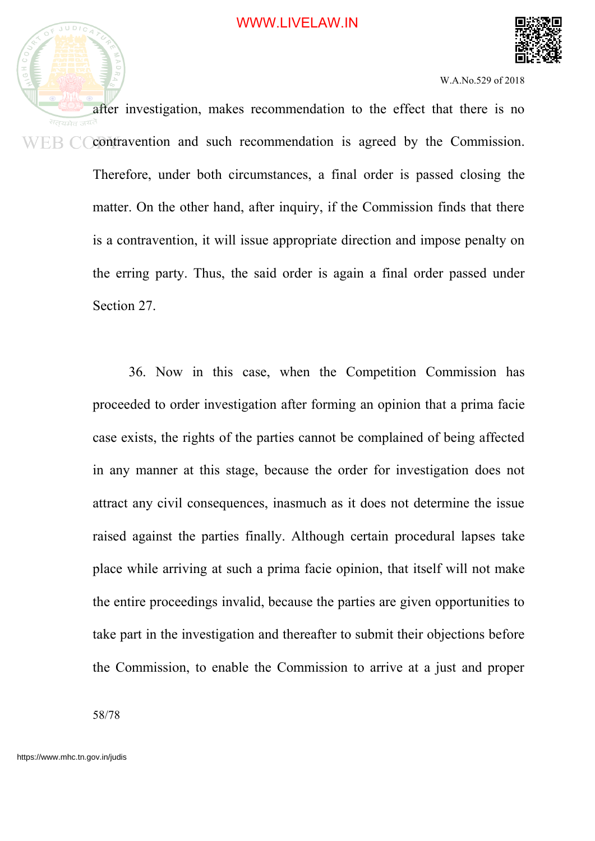

after investigation, makes recommendation to the effect that there is no contravention and such recommendation is agreed by the Commission. ER C Therefore, under both circumstances, a final order is passed closing the matter. On the other hand, after inquiry, if the Commission finds that there is a contravention, it will issue appropriate direction and impose penalty on the erring party. Thus, the said order is again a final order passed under Section 27.

> 36. Now in this case, when the Competition Commission has proceeded to order investigation after forming an opinion that a prima facie case exists, the rights of the parties cannot be complained of being affected in any manner at this stage, because the order for investigation does not attract any civil consequences, inasmuch as it does not determine the issue raised against the parties finally. Although certain procedural lapses take place while arriving at such a prima facie opinion, that itself will not make the entire proceedings invalid, because the parties are given opportunities to take part in the investigation and thereafter to submit their objections before the Commission, to enable the Commission to arrive at a just and proper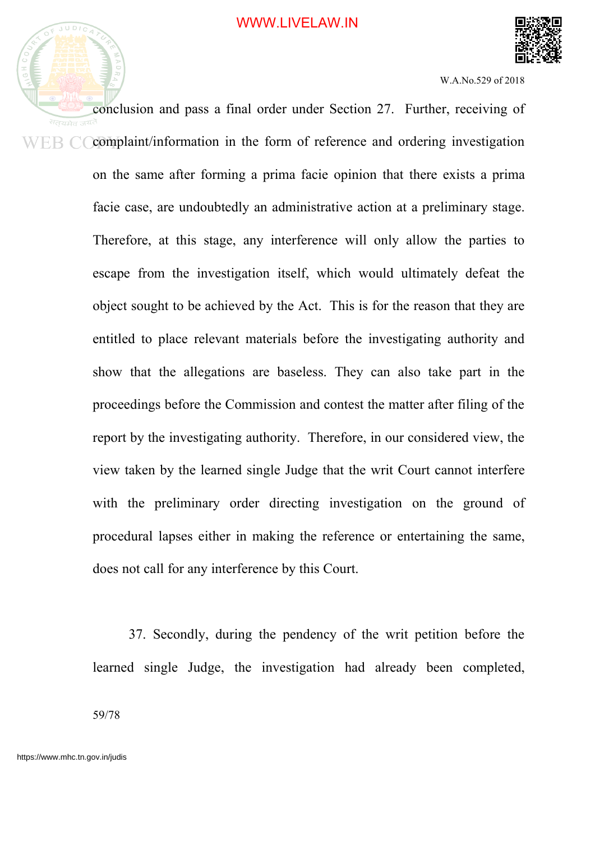

conclusion and pass a final order under Section 27. Further, receiving of complaint/information in the form of reference and ordering investigation ER C on the same after forming a prima facie opinion that there exists a prima facie case, are undoubtedly an administrative action at a preliminary stage. Therefore, at this stage, any interference will only allow the parties to escape from the investigation itself, which would ultimately defeat the object sought to be achieved by the Act. This is for the reason that they are entitled to place relevant materials before the investigating authority and show that the allegations are baseless. They can also take part in the proceedings before the Commission and contest the matter after filing of the report by the investigating authority. Therefore, in our considered view, the view taken by the learned single Judge that the writ Court cannot interfere with the preliminary order directing investigation on the ground of procedural lapses either in making the reference or entertaining the same, does not call for any interference by this Court.

> 37. Secondly, during the pendency of the writ petition before the learned single Judge, the investigation had already been completed,

59/78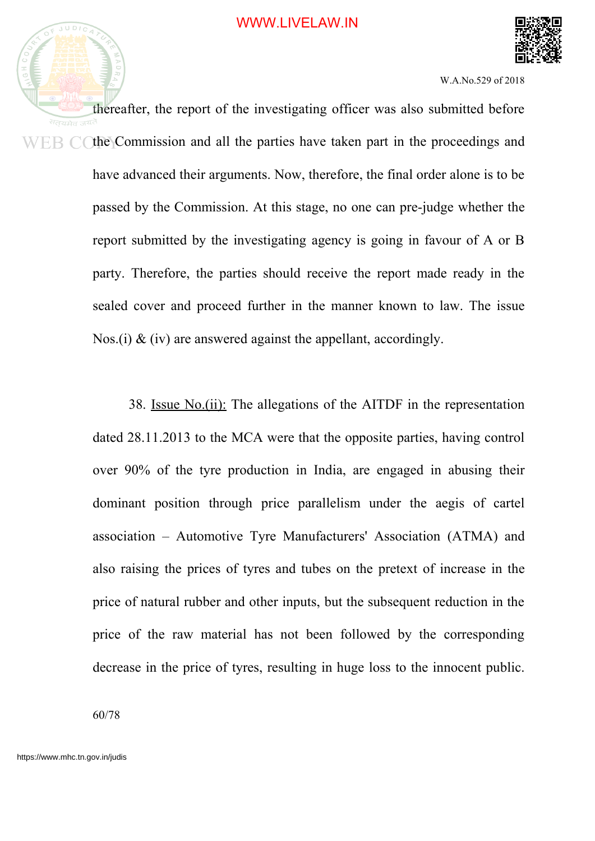

thereafter, the report of the investigating officer was also submitted before सतयमेव the Commission and all the parties have taken part in the proceedings and have advanced their arguments. Now, therefore, the final order alone is to be passed by the Commission. At this stage, no one can pre-judge whether the report submitted by the investigating agency is going in favour of A or B party. Therefore, the parties should receive the report made ready in the sealed cover and proceed further in the manner known to law. The issue Nos.(i)  $\&$  (iv) are answered against the appellant, accordingly.

> 38. Issue No.(ii): The allegations of the AITDF in the representation dated 28.11.2013 to the MCA were that the opposite parties, having control over 90% of the tyre production in India, are engaged in abusing their dominant position through price parallelism under the aegis of cartel association – Automotive Tyre Manufacturers' Association (ATMA) and also raising the prices of tyres and tubes on the pretext of increase in the price of natural rubber and other inputs, but the subsequent reduction in the price of the raw material has not been followed by the corresponding decrease in the price of tyres, resulting in huge loss to the innocent public.

60/78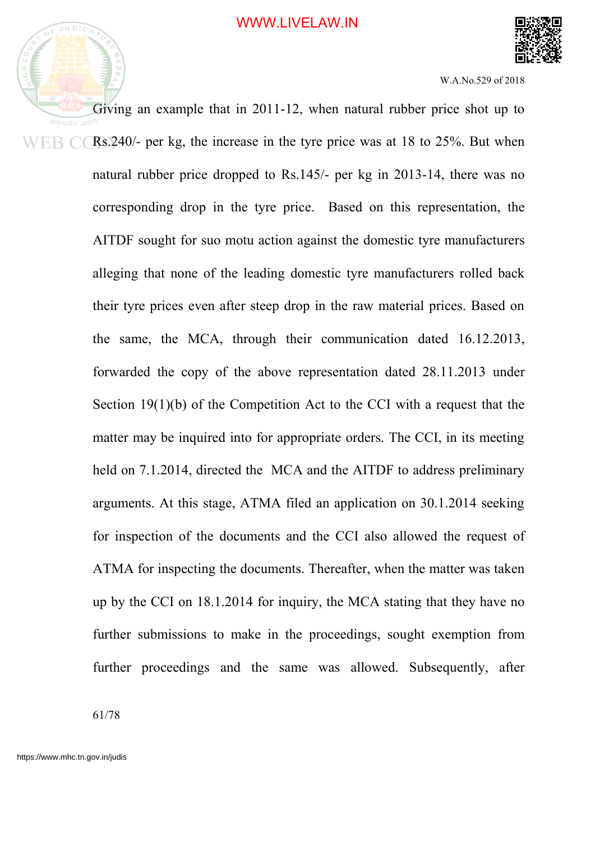



Giving an example that in 2011-12, when natural rubber price shot up to Rs.240/- per kg, the increase in the tyre price was at 18 to 25%. But when natural rubber price dropped to Rs.145/- per kg in 2013-14, there was no corresponding drop in the tyre price. Based on this representation, the AITDF sought for suo motu action against the domestic tyre manufacturers alleging that none of the leading domestic tyre manufacturers rolled back their tyre prices even after steep drop in the raw material prices. Based on the same, the MCA, through their communication dated 16.12.2013, forwarded the copy of the above representation dated 28.11.2013 under Section 19(1)(b) of the Competition Act to the CCI with a request that the matter may be inquired into for appropriate orders. The CCI, in its meeting held on 7.1.2014, directed the MCA and the AITDF to address preliminary arguments. At this stage, ATMA filed an application on 30.1.2014 seeking for inspection of the documents and the CCI also allowed the request of ATMA for inspecting the documents. Thereafter, when the matter was taken up by the CCI on 18.1.2014 for inquiry, the MCA stating that they have no further submissions to make in the proceedings, sought exemption from further proceedings and the same was allowed. Subsequently, after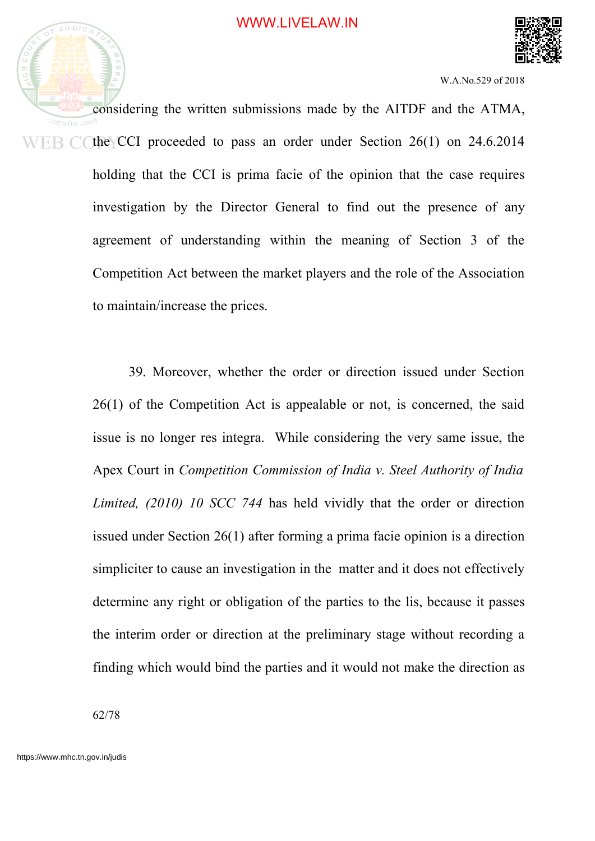

considering the written submissions made by the AITDF and the ATMA, सतयमेव ज<sup>यत</sup> the CCI proceeded to pass an order under Section 26(1) on 24.6.2014 ER CO holding that the CCI is prima facie of the opinion that the case requires investigation by the Director General to find out the presence of any agreement of understanding within the meaning of Section 3 of the Competition Act between the market players and the role of the Association to maintain/increase the prices.

> 39. Moreover, whether the order or direction issued under Section 26(1) of the Competition Act is appealable or not, is concerned, the said issue is no longer res integra. While considering the very same issue, the Apex Court in *Competition Commission of India v. Steel Authority of India Limited, (2010) 10 SCC 744* has held vividly that the order or direction issued under Section 26(1) after forming a prima facie opinion is a direction simpliciter to cause an investigation in the matter and it does not effectively determine any right or obligation of the parties to the lis, because it passes the interim order or direction at the preliminary stage without recording a finding which would bind the parties and it would not make the direction as

62/78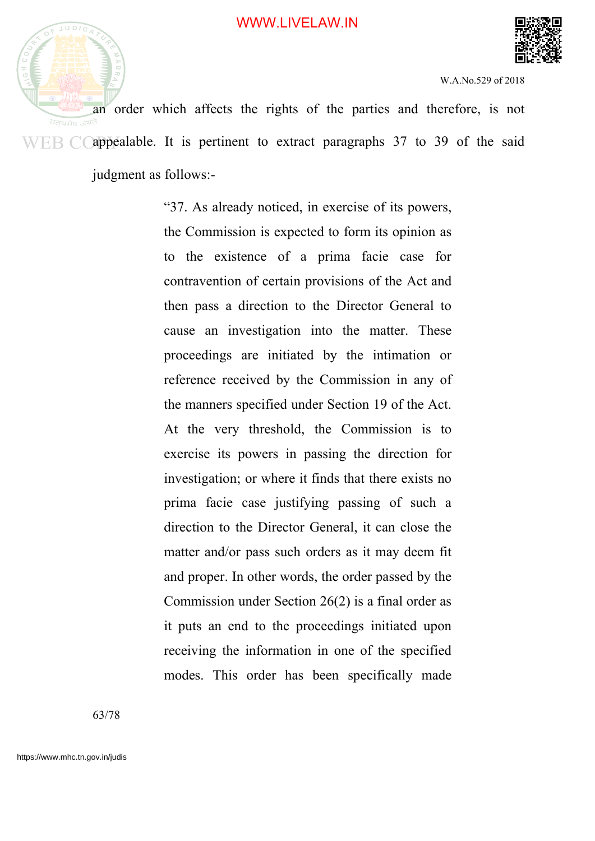



an order which affects the rights of the parties and therefore, is not  $WEB$  C appealable. It is pertinent to extract paragraphs 37 to 39 of the said judgment as follows:-

> "37. As already noticed, in exercise of its powers, the Commission is expected to form its opinion as to the existence of a prima facie case for contravention of certain provisions of the Act and then pass a direction to the Director General to cause an investigation into the matter. These proceedings are initiated by the intimation or reference received by the Commission in any of the manners specified under Section 19 of the Act. At the very threshold, the Commission is to exercise its powers in passing the direction for investigation; or where it finds that there exists no prima facie case justifying passing of such a direction to the Director General, it can close the matter and/or pass such orders as it may deem fit and proper. In other words, the order passed by the Commission under Section 26(2) is a final order as it puts an end to the proceedings initiated upon receiving the information in one of the specified modes. This order has been specifically made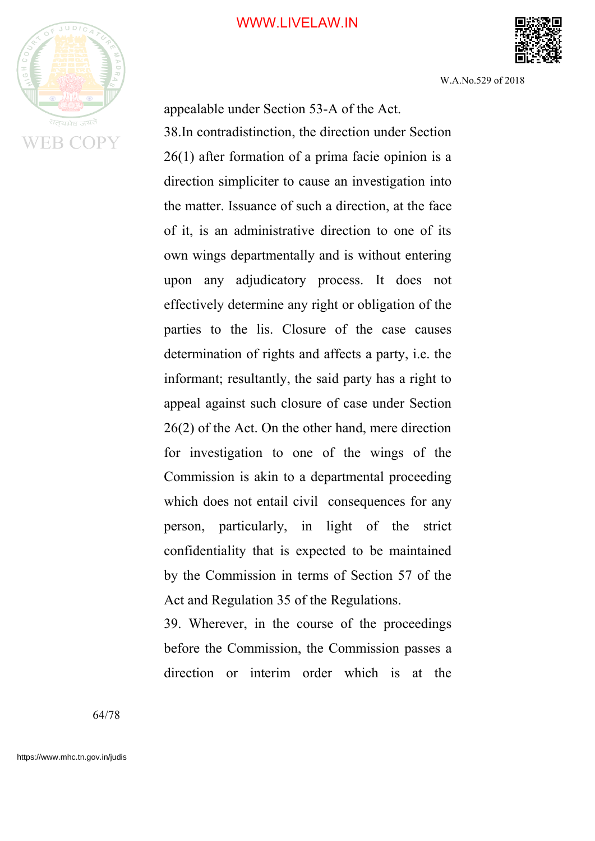

W.A.No.529 of 2018

appealable under Section 53-A of the Act. 38.In contradistinction, the direction under Section 26(1) after formation of a prima facie opinion is a direction simpliciter to cause an investigation into the matter. Issuance of such a direction, at the face of it, is an administrative direction to one of its own wings departmentally and is without entering upon any adjudicatory process. It does not effectively determine any right or obligation of the parties to the lis. Closure of the case causes determination of rights and affects a party, i.e. the informant; resultantly, the said party has a right to appeal against such closure of case under Section 26(2) of the Act. On the other hand, mere direction for investigation to one of the wings of the Commission is akin to a departmental proceeding which does not entail civil consequences for any person, particularly, in light of the strict confidentiality that is expected to be maintained by the Commission in terms of Section 57 of the Act and Regulation 35 of the Regulations.

39. Wherever, in the course of the proceedings before the Commission, the Commission passes a direction or interim order which is at the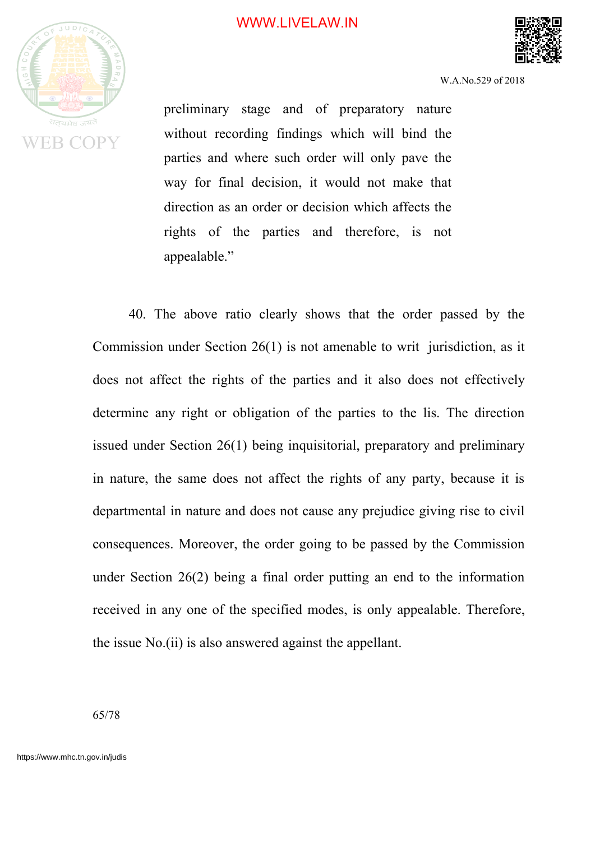

preliminary stage and of preparatory nature without recording findings which will bind the parties and where such order will only pave the way for final decision, it would not make that direction as an order or decision which affects the rights of the parties and therefore, is not appealable."

40. The above ratio clearly shows that the order passed by the Commission under Section 26(1) is not amenable to writ jurisdiction, as it does not affect the rights of the parties and it also does not effectively determine any right or obligation of the parties to the lis. The direction issued under Section 26(1) being inquisitorial, preparatory and preliminary in nature, the same does not affect the rights of any party, because it is departmental in nature and does not cause any prejudice giving rise to civil consequences. Moreover, the order going to be passed by the Commission under Section 26(2) being a final order putting an end to the information received in any one of the specified modes, is only appealable. Therefore, the issue No.(ii) is also answered against the appellant.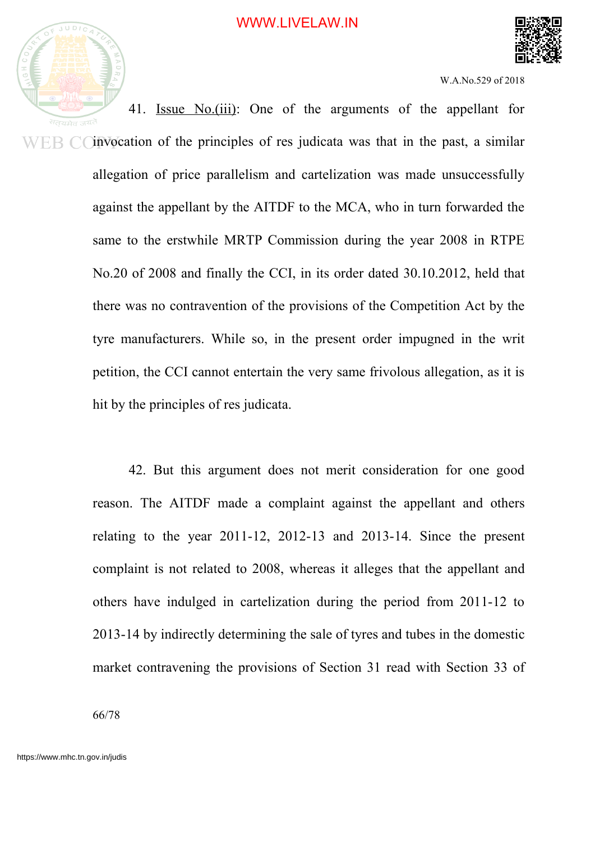



W.A.No.529 of 2018

41. Issue No.(iii): One of the arguments of the appellant for  $E B C$  invocation of the principles of res judicata was that in the past, a similar allegation of price parallelism and cartelization was made unsuccessfully against the appellant by the AITDF to the MCA, who in turn forwarded the same to the erstwhile MRTP Commission during the year 2008 in RTPE No.20 of 2008 and finally the CCI, in its order dated 30.10.2012, held that there was no contravention of the provisions of the Competition Act by the tyre manufacturers. While so, in the present order impugned in the writ petition, the CCI cannot entertain the very same frivolous allegation, as it is hit by the principles of res judicata.

> 42. But this argument does not merit consideration for one good reason. The AITDF made a complaint against the appellant and others relating to the year 2011-12, 2012-13 and 2013-14. Since the present complaint is not related to 2008, whereas it alleges that the appellant and others have indulged in cartelization during the period from 2011-12 to 2013-14 by indirectly determining the sale of tyres and tubes in the domestic market contravening the provisions of Section 31 read with Section 33 of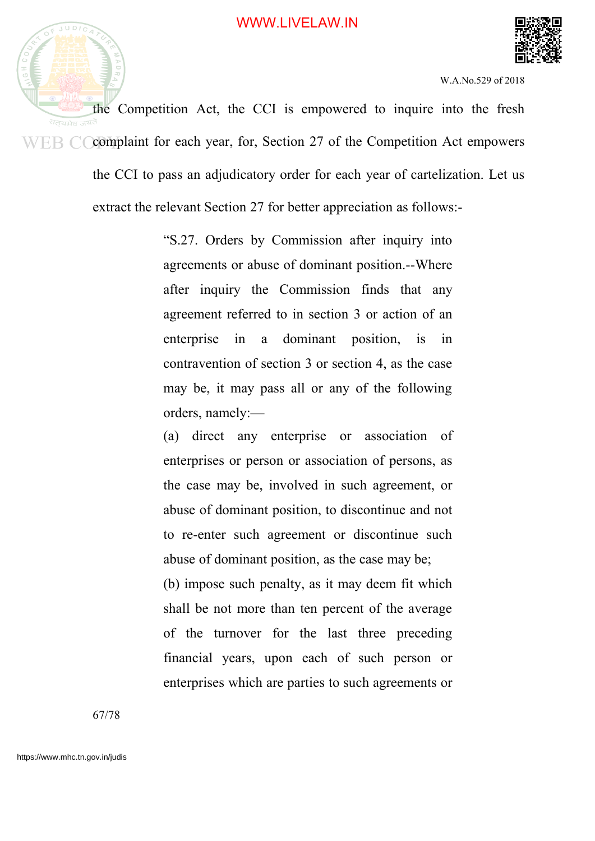



the Competition Act, the CCI is empowered to inquire into the fresh  $WEB$   $\dot{\bigcirc}$  Complaint for each year, for, Section 27 of the Competition Act empowers the CCI to pass an adjudicatory order for each year of cartelization. Let us extract the relevant Section 27 for better appreciation as follows:-

> "S.27. Orders by Commission after inquiry into agreements or abuse of dominant position.--Where after inquiry the Commission finds that any agreement referred to in section 3 or action of an enterprise in a dominant position, is in contravention of section 3 or section 4, as the case may be, it may pass all or any of the following orders, namely:—

> (a) direct any enterprise or association of enterprises or person or association of persons, as the case may be, involved in such agreement, or abuse of dominant position, to discontinue and not to re-enter such agreement or discontinue such abuse of dominant position, as the case may be;

> (b) impose such penalty, as it may deem fit which shall be not more than ten percent of the average of the turnover for the last three preceding financial years, upon each of such person or enterprises which are parties to such agreements or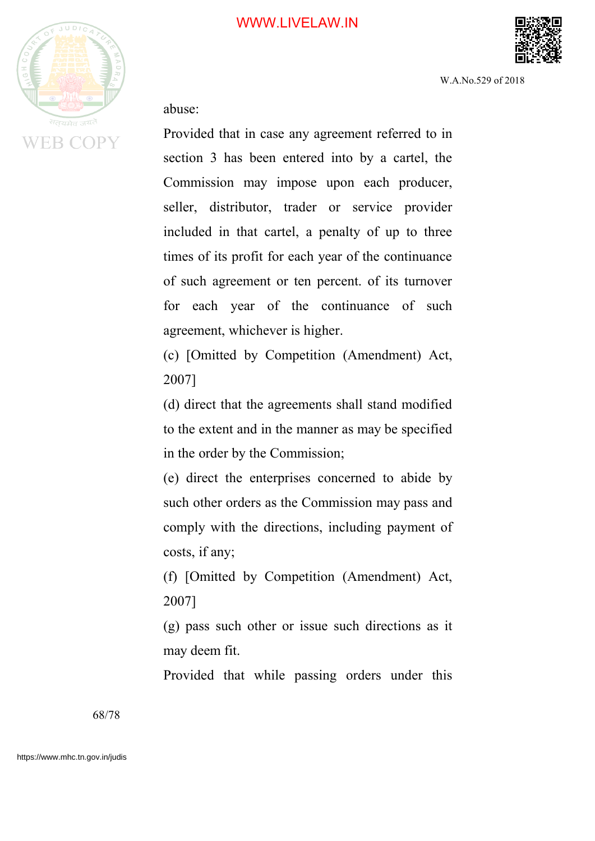

W.A.No.529 of 2018

abuse:

Provided that in case any agreement referred to in section 3 has been entered into by a cartel, the Commission may impose upon each producer, seller, distributor, trader or service provider included in that cartel, a penalty of up to three times of its profit for each year of the continuance of such agreement or ten percent. of its turnover for each year of the continuance of such agreement, whichever is higher.

(c) [Omitted by Competition (Amendment) Act, 2007]

(d) direct that the agreements shall stand modified to the extent and in the manner as may be specified in the order by the Commission;

(e) direct the enterprises concerned to abide by such other orders as the Commission may pass and comply with the directions, including payment of costs, if any;

(f) [Omitted by Competition (Amendment) Act, 2007]

(g) pass such other or issue such directions as it may deem fit.

Provided that while passing orders under this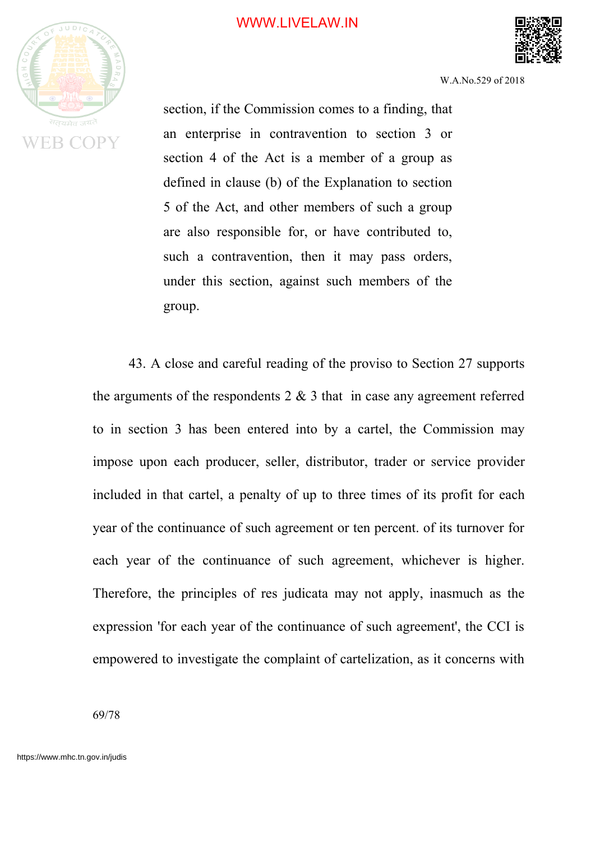

W.A.No.529 of 2018

section, if the Commission comes to a finding, that an enterprise in contravention to section 3 or section 4 of the Act is a member of a group as defined in clause (b) of the Explanation to section 5 of the Act, and other members of such a group are also responsible for, or have contributed to, such a contravention, then it may pass orders, under this section, against such members of the group.

43. A close and careful reading of the proviso to Section 27 supports the arguments of the respondents  $2 \& 3$  that in case any agreement referred to in section 3 has been entered into by a cartel, the Commission may impose upon each producer, seller, distributor, trader or service provider included in that cartel, a penalty of up to three times of its profit for each year of the continuance of such agreement or ten percent. of its turnover for each year of the continuance of such agreement, whichever is higher. Therefore, the principles of res judicata may not apply, inasmuch as the expression 'for each year of the continuance of such agreement', the CCI is empowered to investigate the complaint of cartelization, as it concerns with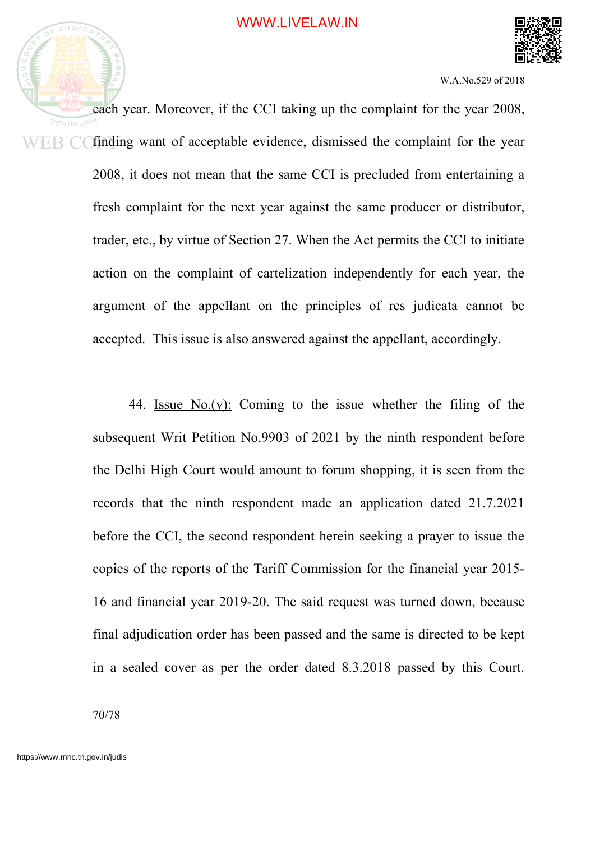



each year. Moreover, if the CCI taking up the complaint for the year 2008, सतयमेव finding want of acceptable evidence, dismissed the complaint for the year ER C 2008, it does not mean that the same CCI is precluded from entertaining a fresh complaint for the next year against the same producer or distributor, trader, etc., by virtue of Section 27. When the Act permits the CCI to initiate action on the complaint of cartelization independently for each year, the argument of the appellant on the principles of res judicata cannot be accepted. This issue is also answered against the appellant, accordingly.

> 44. Issue No.(v): Coming to the issue whether the filing of the subsequent Writ Petition No.9903 of 2021 by the ninth respondent before the Delhi High Court would amount to forum shopping, it is seen from the records that the ninth respondent made an application dated 21.7.2021 before the CCI, the second respondent herein seeking a prayer to issue the copies of the reports of the Tariff Commission for the financial year 2015- 16 and financial year 2019-20. The said request was turned down, because final adjudication order has been passed and the same is directed to be kept in a sealed cover as per the order dated 8.3.2018 passed by this Court.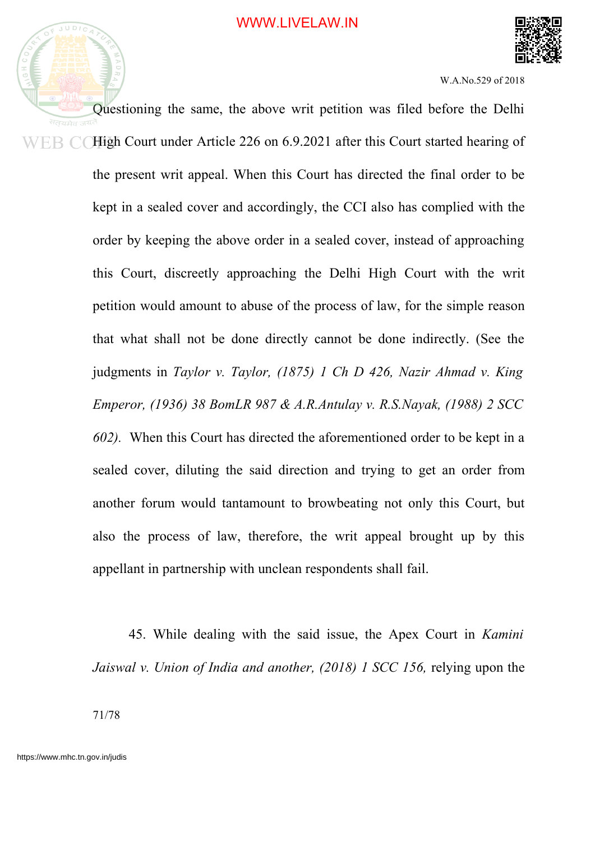

Questioning the same, the above writ petition was filed before the Delhi High Court under Article 226 on 6.9.2021 after this Court started hearing of ER C the present writ appeal. When this Court has directed the final order to be kept in a sealed cover and accordingly, the CCI also has complied with the order by keeping the above order in a sealed cover, instead of approaching this Court, discreetly approaching the Delhi High Court with the writ petition would amount to abuse of the process of law, for the simple reason that what shall not be done directly cannot be done indirectly. (See the judgments in *Taylor v. Taylor, (1875) 1 Ch D 426, Nazir Ahmad v. King Emperor, (1936) 38 BomLR 987 & A.R.Antulay v. R.S.Nayak, (1988) 2 SCC 602).* When this Court has directed the aforementioned order to be kept in a sealed cover, diluting the said direction and trying to get an order from another forum would tantamount to browbeating not only this Court, but also the process of law, therefore, the writ appeal brought up by this appellant in partnership with unclean respondents shall fail.

> 45. While dealing with the said issue, the Apex Court in *Kamini Jaiswal v. Union of India and another, (2018) 1 SCC 156,* relying upon the

71/78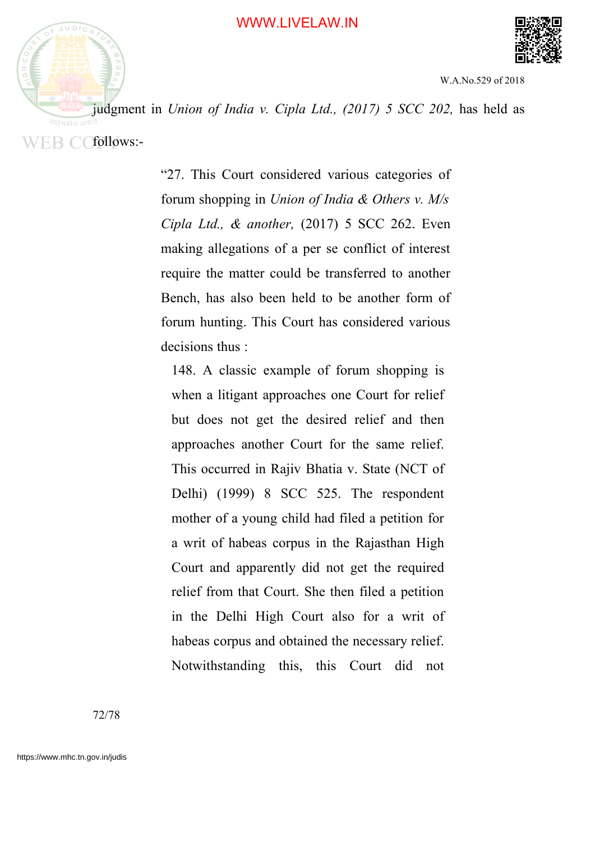



judgment in *Union of India v. Cipla Ltd., (2017) 5 SCC 202,* has held as WEB COfollows:-

> "27. This Court considered various categories of forum shopping in *Union of India & Others v. M/s Cipla Ltd., & another,* (2017) 5 SCC 262. Even making allegations of a per se conflict of interest require the matter could be transferred to another Bench, has also been held to be another form of forum hunting. This Court has considered various decisions thus :

148. A classic example of forum shopping is when a litigant approaches one Court for relief but does not get the desired relief and then approaches another Court for the same relief. This occurred in Rajiv Bhatia v. State (NCT of Delhi) (1999) 8 SCC 525. The respondent mother of a young child had filed a petition for a writ of habeas corpus in the Rajasthan High Court and apparently did not get the required relief from that Court. She then filed a petition in the Delhi High Court also for a writ of habeas corpus and obtained the necessary relief. Notwithstanding this, this Court did not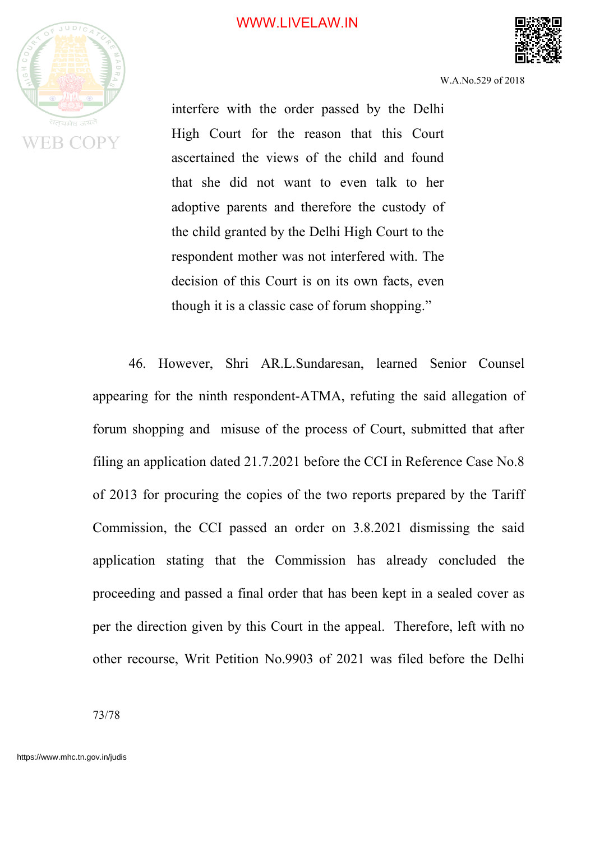## WWW.LIVELAW.IN



W.A.No.529 of 2018

interfere with the order passed by the Delhi High Court for the reason that this Court ascertained the views of the child and found that she did not want to even talk to her adoptive parents and therefore the custody of the child granted by the Delhi High Court to the respondent mother was not interfered with. The decision of this Court is on its own facts, even though it is a classic case of forum shopping."

46. However, Shri AR.L.Sundaresan, learned Senior Counsel appearing for the ninth respondent-ATMA, refuting the said allegation of forum shopping and misuse of the process of Court, submitted that after filing an application dated 21.7.2021 before the CCI in Reference Case No.8 of 2013 for procuring the copies of the two reports prepared by the Tariff Commission, the CCI passed an order on 3.8.2021 dismissing the said application stating that the Commission has already concluded the proceeding and passed a final order that has been kept in a sealed cover as per the direction given by this Court in the appeal. Therefore, left with no other recourse, Writ Petition No.9903 of 2021 was filed before the Delhi

73/78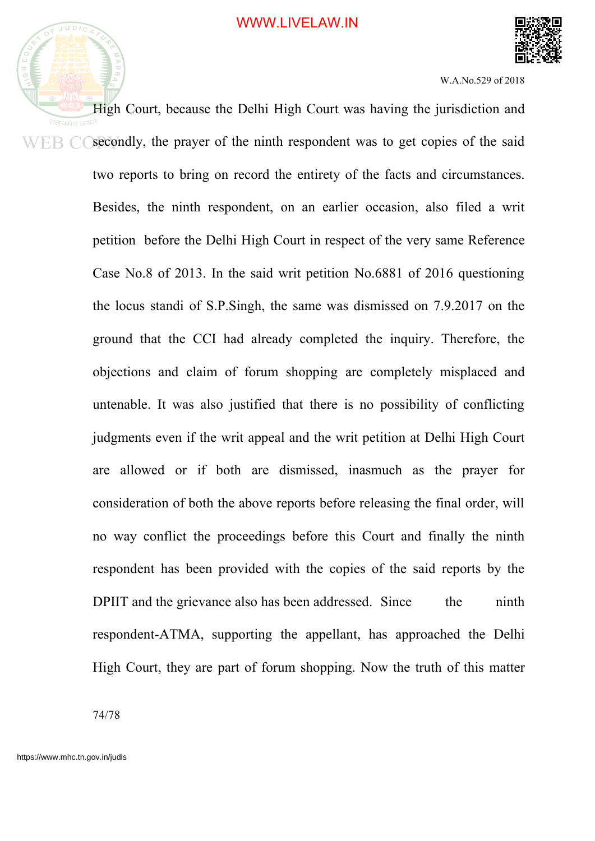

W.A.No.529 of 2018

High Court, because the Delhi High Court was having the jurisdiction and सतयमेव secondly, the prayer of the ninth respondent was to get copies of the said ER C two reports to bring on record the entirety of the facts and circumstances. Besides, the ninth respondent, on an earlier occasion, also filed a writ petition before the Delhi High Court in respect of the very same Reference Case No.8 of 2013. In the said writ petition No.6881 of 2016 questioning the locus standi of S.P.Singh, the same was dismissed on 7.9.2017 on the ground that the CCI had already completed the inquiry. Therefore, the objections and claim of forum shopping are completely misplaced and untenable. It was also justified that there is no possibility of conflicting judgments even if the writ appeal and the writ petition at Delhi High Court are allowed or if both are dismissed, inasmuch as the prayer for consideration of both the above reports before releasing the final order, will no way conflict the proceedings before this Court and finally the ninth respondent has been provided with the copies of the said reports by the DPIIT and the grievance also has been addressed. Since the ninth respondent-ATMA, supporting the appellant, has approached the Delhi High Court, they are part of forum shopping. Now the truth of this matter

74/78

 $JUDIC$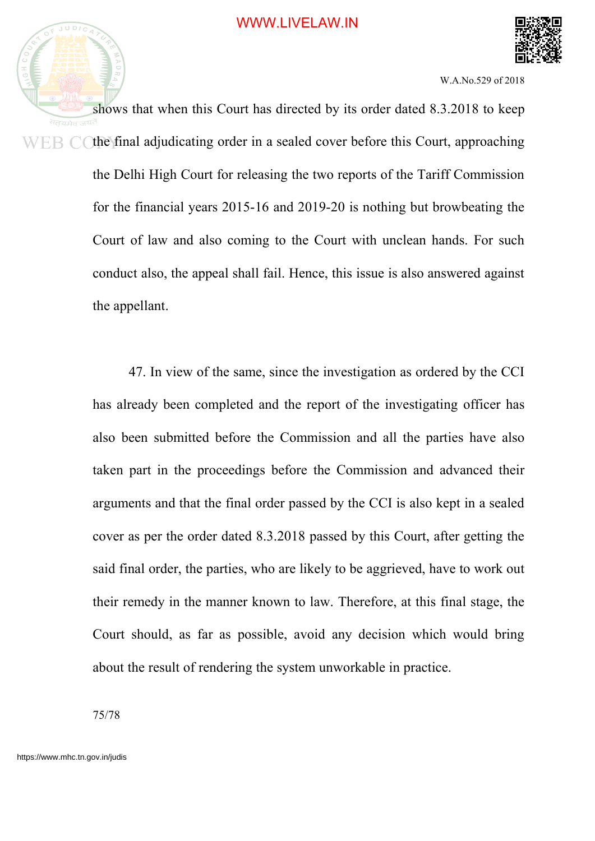

W.A.No.529 of 2018

shows that when this Court has directed by its order dated 8.3.2018 to keep सतयमेव the final adjudicating order in a sealed cover before this Court, approaching ER CO the Delhi High Court for releasing the two reports of the Tariff Commission for the financial years 2015-16 and 2019-20 is nothing but browbeating the Court of law and also coming to the Court with unclean hands. For such conduct also, the appeal shall fail. Hence, this issue is also answered against the appellant.

> 47. In view of the same, since the investigation as ordered by the CCI has already been completed and the report of the investigating officer has also been submitted before the Commission and all the parties have also taken part in the proceedings before the Commission and advanced their arguments and that the final order passed by the CCI is also kept in a sealed cover as per the order dated 8.3.2018 passed by this Court, after getting the said final order, the parties, who are likely to be aggrieved, have to work out their remedy in the manner known to law. Therefore, at this final stage, the Court should, as far as possible, avoid any decision which would bring about the result of rendering the system unworkable in practice.

75/78

 $JUDIC$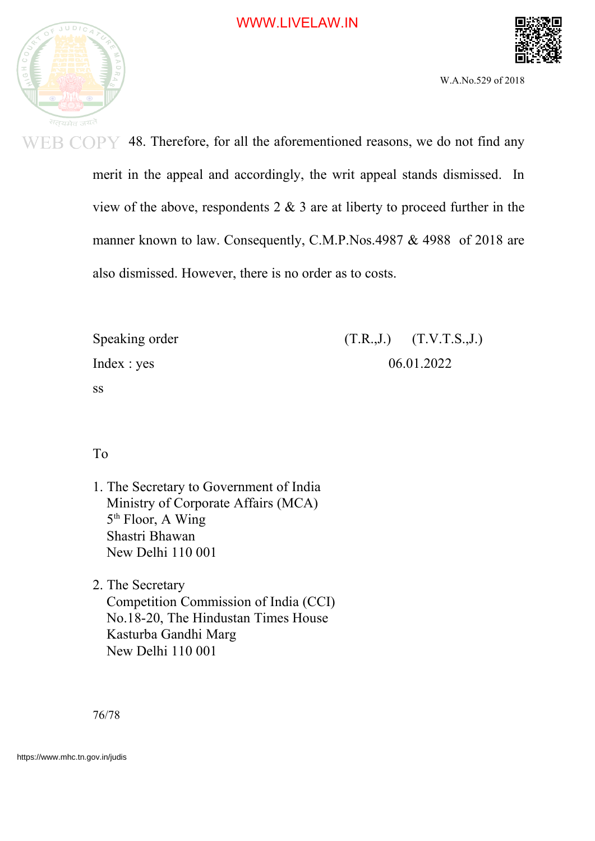



W.A.No.529 of 2018

**WEB COPY** 48. Therefore, for all the aforementioned reasons, we do not find any merit in the appeal and accordingly, the writ appeal stands dismissed. In view of the above, respondents  $2 \& 3$  are at liberty to proceed further in the manner known to law. Consequently, C.M.P.Nos.4987 & 4988 of 2018 are also dismissed. However, there is no order as to costs.

| Speaking order |            | $(T.R., J.)$ $(T.V.T.S., J.)$ |
|----------------|------------|-------------------------------|
| Index : yes    | 06.01.2022 |                               |
| SS             |            |                               |

To

ss

- 1. The Secretary to Government of India Ministry of Corporate Affairs (MCA) 5<sup>th</sup> Floor, A Wing Shastri Bhawan New Delhi 110 001
- 2. The Secretary Competition Commission of India (CCI) No.18-20, The Hindustan Times House Kasturba Gandhi Marg New Delhi 110 001

76/78

https://www.mhc.tn.gov.in/judis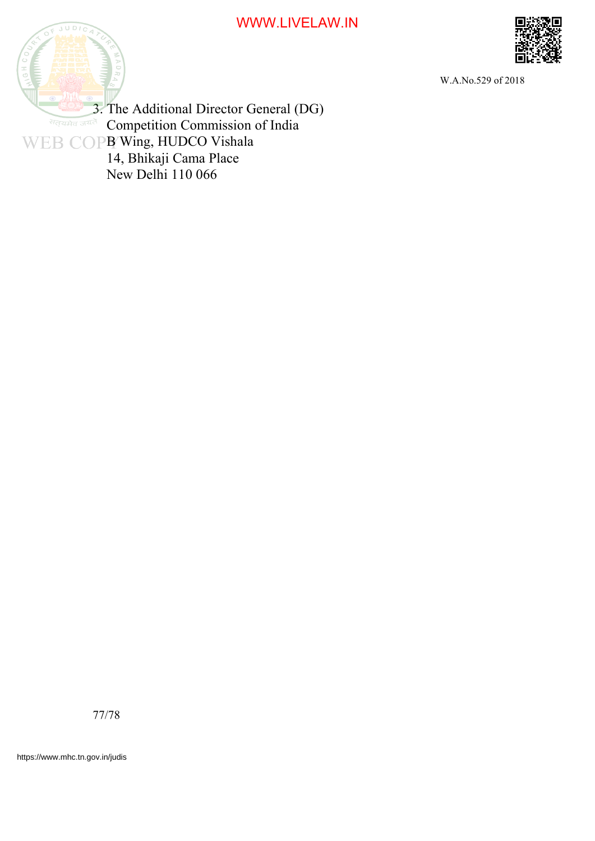## WWW.LIVELAW.IN





W.A.No.529 of 2018

3. The Additional Director General (DG) **Competition Commission of India**  B Wing, HUDCO Vishala 14, Bhikaji Cama Place New Delhi 110 066

77/78

https://www.mhc.tn.gov.in/judis